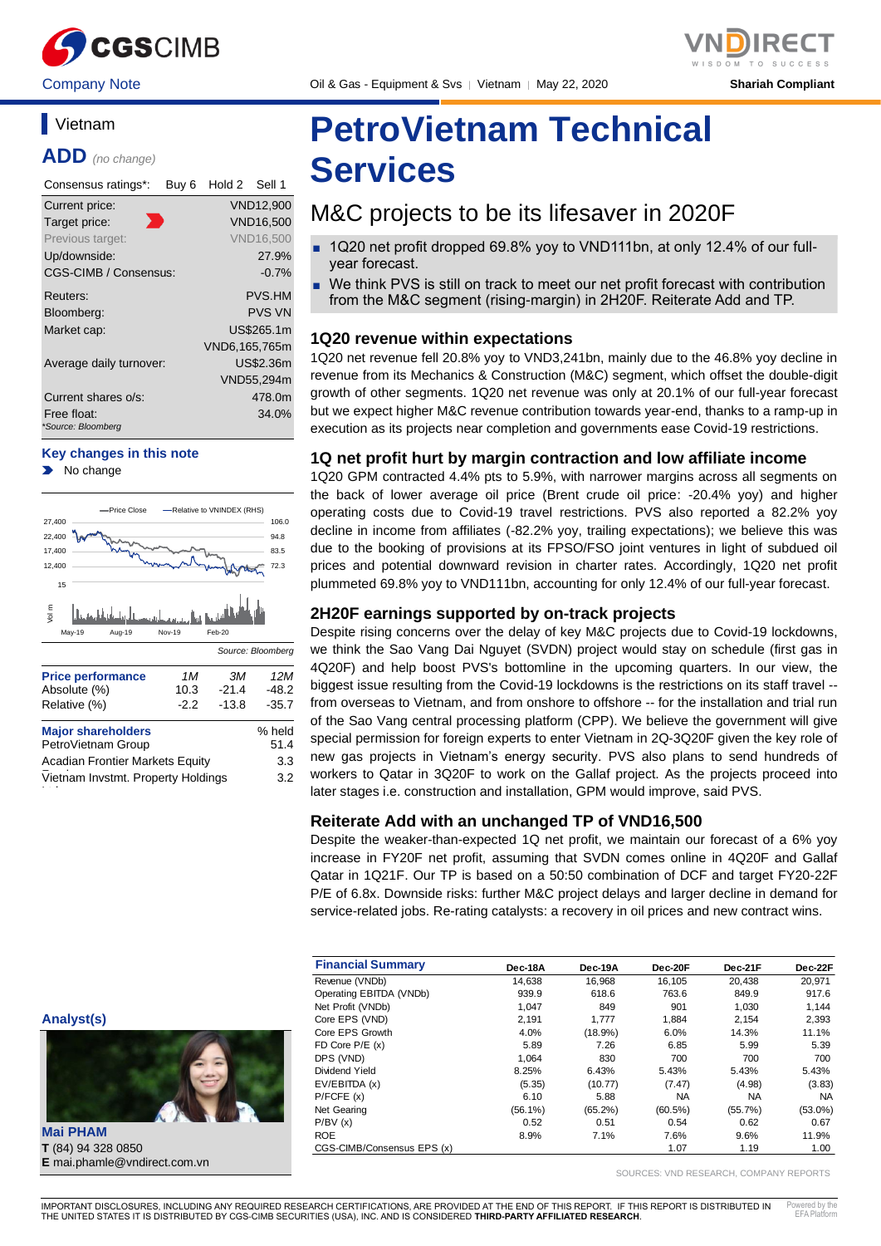

# **Vietnam**

**ADD** *(no change)*

| Consensus ratings*:     | Buy 6 | Hold 2        | Sell 1           |
|-------------------------|-------|---------------|------------------|
| Current price:          |       |               | <b>VND12,900</b> |
| Target price:           |       |               | <b>VND16,500</b> |
| Previous target:        |       |               | <b>VND16.500</b> |
| Up/downside:            |       |               | 27.9%            |
| CGS-CIMB / Consensus:   |       |               | $-0.7\%$         |
| Reuters:                |       |               | <b>PVS.HM</b>    |
| Bloomberg:              |       |               | <b>PVS VN</b>    |
| Market cap:             |       |               | US\$265.1m       |
|                         |       | VND6,165,765m |                  |
| Average daily turnover: |       |               | US\$2.36m        |
|                         |       |               | VND55,294m       |
| Current shares o/s:     |       |               | 478.0m           |
| Free float:             |       |               | 34.0%            |
| *Source: Bloomberg      |       |               |                  |

#### **Key changes in this note**

No change



Vietnam Invstmt. Property Holdings

3.2

t i

**Analyst(s)**

# **PetroVietnam Technical Services**

# M&C projects to be its lifesaver in 2020F

- 1Q20 net profit dropped 69.8% yoy to VND111bn, at only 12.4% of our fullyear forecast.
- We think PVS is still on track to meet our net profit forecast with contribution from the M&C segment (rising-margin) in 2H20F. Reiterate Add and TP.

# **1Q20 revenue within expectations**

1Q20 net revenue fell 20.8% yoy to VND3,241bn, mainly due to the 46.8% yoy decline in revenue from its Mechanics & Construction (M&C) segment, which offset the double-digit growth of other segments. 1Q20 net revenue was only at 20.1% of our full-year forecast but we expect higher M&C revenue contribution towards year-end, thanks to a ramp-up in execution as its projects near completion and governments ease Covid-19 restrictions.

# **1Q net profit hurt by margin contraction and low affiliate income**

1Q20 GPM contracted 4.4% pts to 5.9%, with narrower margins across all segments on the back of lower average oil price (Brent crude oil price: -20.4% yoy) and higher operating costs due to Covid-19 travel restrictions. PVS also reported a 82.2% yoy decline in income from affiliates (-82.2% yoy, trailing expectations); we believe this was due to the booking of provisions at its FPSO/FSO joint ventures in light of subdued oil prices and potential downward revision in charter rates. Accordingly, 1Q20 net profit plummeted 69.8% yoy to VND111bn, accounting for only 12.4% of our full-year forecast.

# **2H20F earnings supported by on-track projects**

Despite rising concerns over the delay of key M&C projects due to Covid-19 lockdowns, we think the Sao Vang Dai Nguyet (SVDN) project would stay on schedule (first gas in 4Q20F) and help boost PVS's bottomline in the upcoming quarters. In our view, the biggest issue resulting from the Covid-19 lockdowns is the restrictions on its staff travel - from overseas to Vietnam, and from onshore to offshore -- for the installation and trial run of the Sao Vang central processing platform (CPP). We believe the government will give special permission for foreign experts to enter Vietnam in 2Q-3Q20F given the key role of new gas projects in Vietnam's energy security. PVS also plans to send hundreds of workers to Qatar in 3Q20F to work on the Gallaf project. As the projects proceed into later stages i.e. construction and installation, GPM would improve, said PVS.

# **Reiterate Add with an unchanged TP of VND16,500**

Despite the weaker-than-expected 1Q net profit, we maintain our forecast of a 6% yoy increase in FY20F net profit, assuming that SVDN comes online in 4Q20F and Gallaf Qatar in 1Q21F. Our TP is based on a 50:50 combination of DCF and target FY20-22F P/E of 6.8x. Downside risks: further M&C project delays and larger decline in demand for service-related jobs. Re-rating catalysts: a recovery in oil prices and new contract wins.

| <b>Financial Summary</b>   | Dec-18A    | Dec-19A    | Dec-20F    | Dec-21F   | Dec-22F    |
|----------------------------|------------|------------|------------|-----------|------------|
| Revenue (VNDb)             | 14.638     | 16.968     | 16.105     | 20.438    | 20.971     |
| Operating EBITDA (VNDb)    | 939.9      | 618.6      | 763.6      | 849.9     | 917.6      |
| Net Profit (VNDb)          | 1.047      | 849        | 901        | 1,030     | 1,144      |
| Core EPS (VND)             | 2,191      | 1.777      | 1,884      | 2,154     | 2,393      |
| Core EPS Growth            | 4.0%       | $(18.9\%)$ | 6.0%       | 14.3%     | 11.1%      |
| FD Core $P/E(x)$           | 5.89       | 7.26       | 6.85       | 5.99      | 5.39       |
| DPS (VND)                  | 1.064      | 830        | 700        | 700       | 700        |
| Dividend Yield             | 8.25%      | 6.43%      | 5.43%      | 5.43%     | 5.43%      |
| EV/EBITDA (x)              | (5.35)     | (10.77)    | (7.47)     | (4.98)    | (3.83)     |
| P/FCFE(x)                  | 6.10       | 5.88       | <b>NA</b>  | <b>NA</b> | <b>NA</b>  |
| Net Gearing                | $(56.1\%)$ | $(65.2\%)$ | $(60.5\%)$ | (55.7%)   | $(53.0\%)$ |
| P/BV(x)                    | 0.52       | 0.51       | 0.54       | 0.62      | 0.67       |
| <b>ROE</b>                 | 8.9%       | 7.1%       | 7.6%       | 9.6%      | 11.9%      |
| CGS-CIMB/Consensus EPS (x) |            |            | 1.07       | 1.19      | 1.00       |

SOURCES: VND RESEARCH, COMPANY REPORTS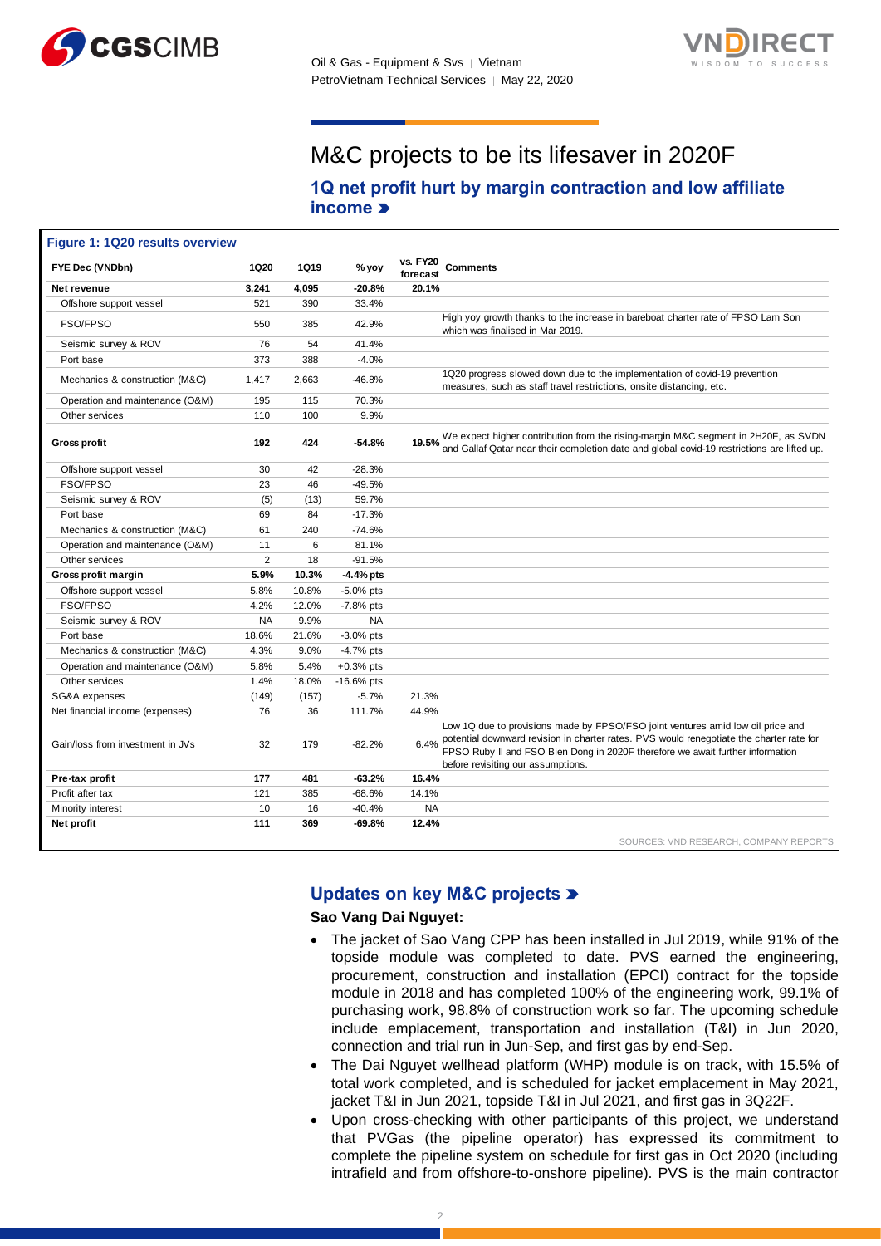



# M&C projects to be its lifesaver in 2020F

# **1Q net profit hurt by margin contraction and low affiliate income**

| Figure 1: 1Q20 results overview  |                |             |              |                                                                                                                                                                                                                                                                                                             |
|----------------------------------|----------------|-------------|--------------|-------------------------------------------------------------------------------------------------------------------------------------------------------------------------------------------------------------------------------------------------------------------------------------------------------------|
| FYE Dec (VNDbn)                  | 1Q20           | <b>1Q19</b> | % yoy        | <b>vs. FY20</b><br><b>Comments</b><br>forecast                                                                                                                                                                                                                                                              |
| Net revenue                      | 3,241          | 4.095       | $-20.8%$     | 20.1%                                                                                                                                                                                                                                                                                                       |
| Offshore support vessel          | 521            | 390         | 33.4%        |                                                                                                                                                                                                                                                                                                             |
| FSO/FPSO                         | 550            | 385         | 42.9%        | High yoy growth thanks to the increase in bareboat charter rate of FPSO Lam Son<br>which was finalised in Mar 2019.                                                                                                                                                                                         |
| Seismic survey & ROV             | 76             | 54          | 41.4%        |                                                                                                                                                                                                                                                                                                             |
| Port base                        | 373            | 388         | $-4.0%$      |                                                                                                                                                                                                                                                                                                             |
| Mechanics & construction (M&C)   | 1,417          | 2,663       | $-46.8%$     | 1Q20 progress slowed down due to the implementation of covid-19 prevention<br>measures, such as staff travel restrictions, onsite distancing, etc.                                                                                                                                                          |
| Operation and maintenance (O&M)  | 195            | 115         | 70.3%        |                                                                                                                                                                                                                                                                                                             |
| Other services                   | 110            | 100         | 9.9%         |                                                                                                                                                                                                                                                                                                             |
| <b>Gross profit</b>              | 192            | 424         | $-54.8%$     | 19.5% We expect higher contribution from the rising-margin M&C segment in 2H20F, as SVDN<br>19.5% and Gallaf Qatar near their completion date and global covid-19 restrictions are lifted up.                                                                                                               |
| Offshore support vessel          | 30             | 42          | $-28.3%$     |                                                                                                                                                                                                                                                                                                             |
| FSO/FPSO                         | 23             | 46          | $-49.5%$     |                                                                                                                                                                                                                                                                                                             |
| Seismic survey & ROV             | (5)            | (13)        | 59.7%        |                                                                                                                                                                                                                                                                                                             |
| Port base                        | 69             | 84          | $-17.3%$     |                                                                                                                                                                                                                                                                                                             |
| Mechanics & construction (M&C)   | 61             | 240         | $-74.6%$     |                                                                                                                                                                                                                                                                                                             |
| Operation and maintenance (O&M)  | 11             | 6           | 81.1%        |                                                                                                                                                                                                                                                                                                             |
| Other services                   | $\overline{2}$ | 18          | $-91.5%$     |                                                                                                                                                                                                                                                                                                             |
| Gross profit margin              | 5.9%           | 10.3%       | -4.4% pts    |                                                                                                                                                                                                                                                                                                             |
| Offshore support vessel          | 5.8%           | 10.8%       | $-5.0\%$ pts |                                                                                                                                                                                                                                                                                                             |
| FSO/FPSO                         | 4.2%           | 12.0%       | $-7.8%$ pts  |                                                                                                                                                                                                                                                                                                             |
| Seismic survey & ROV             | <b>NA</b>      | 9.9%        | <b>NA</b>    |                                                                                                                                                                                                                                                                                                             |
| Port base                        | 18.6%          | 21.6%       | $-3.0\%$ pts |                                                                                                                                                                                                                                                                                                             |
| Mechanics & construction (M&C)   | 4.3%           | 9.0%        | $-4.7%$ pts  |                                                                                                                                                                                                                                                                                                             |
| Operation and maintenance (O&M)  | 5.8%           | 5.4%        | $+0.3%$ pts  |                                                                                                                                                                                                                                                                                                             |
| Other services                   | 1.4%           | 18.0%       | $-16.6%$ pts |                                                                                                                                                                                                                                                                                                             |
| SG&A expenses                    | (149)          | (157)       | $-5.7%$      | 21.3%                                                                                                                                                                                                                                                                                                       |
| Net financial income (expenses)  | 76             | 36          | 111.7%       | 44.9%                                                                                                                                                                                                                                                                                                       |
| Gain/loss from investment in JVs | 32             | 179         | $-82.2%$     | Low 1Q due to provisions made by FPSO/FSO joint ventures amid low oil price and<br>potential downward revision in charter rates. PVS would renegotiate the charter rate for<br>6.4%<br>FPSO Ruby II and FSO Bien Dong in 2020F therefore we await further information<br>before revisiting our assumptions. |
| Pre-tax profit                   | 177            | 481         | $-63.2%$     | 16.4%                                                                                                                                                                                                                                                                                                       |
| Profit after tax                 | 121            | 385         | $-68.6%$     | 14.1%                                                                                                                                                                                                                                                                                                       |
| Minority interest                | 10             | 16          | $-40.4%$     | <b>NA</b>                                                                                                                                                                                                                                                                                                   |
| Net profit                       | 111            | 369         | $-69.8%$     | 12.4%                                                                                                                                                                                                                                                                                                       |
|                                  |                |             |              | SOURCES: VND RESEARCH, COMPANY REPORTS                                                                                                                                                                                                                                                                      |

# **Updates on key M&C projects**

**Sao Vang Dai Nguyet:** 

- The jacket of Sao Vang CPP has been installed in Jul 2019, while 91% of the topside module was completed to date. PVS earned the engineering, procurement, construction and installation (EPCI) contract for the topside module in 2018 and has completed 100% of the engineering work, 99.1% of purchasing work, 98.8% of construction work so far. The upcoming schedule include emplacement, transportation and installation (T&I) in Jun 2020, connection and trial run in Jun-Sep, and first gas by end-Sep.
- The Dai Nguyet wellhead platform (WHP) module is on track, with 15.5% of total work completed, and is scheduled for jacket emplacement in May 2021, jacket T&I in Jun 2021, topside T&I in Jul 2021, and first gas in 3Q22F.
- Upon cross-checking with other participants of this project, we understand that PVGas (the pipeline operator) has expressed its commitment to complete the pipeline system on schedule for first gas in Oct 2020 (including intrafield and from offshore-to-onshore pipeline). PVS is the main contractor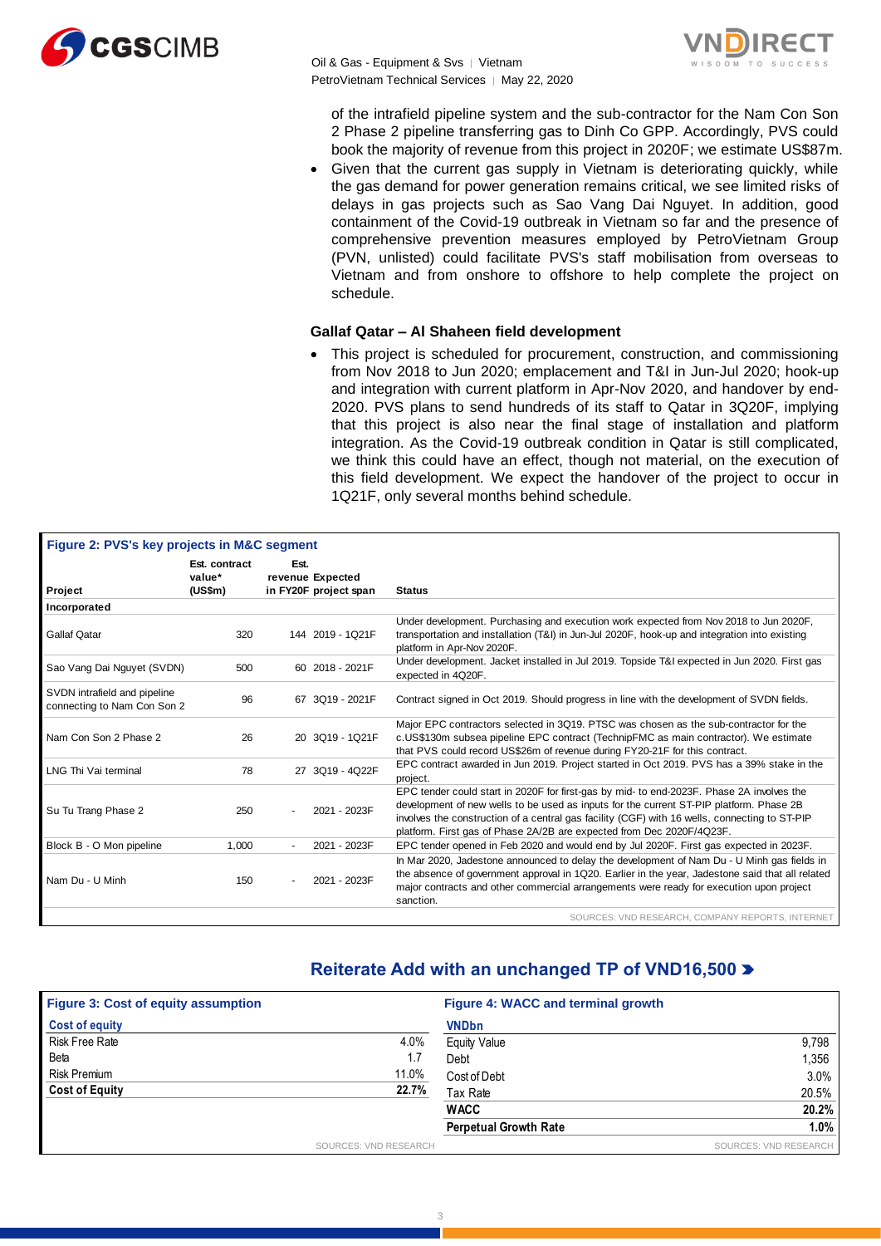

Oil & Gas - Equipment & Svs │ Vietnam PetroVietnam Technical Services | May 22, 2020



of the intrafield pipeline system and the sub-contractor for the Nam Con Son 2 Phase 2 pipeline transferring gas to Dinh Co GPP. Accordingly, PVS could book the majority of revenue from this project in 2020F; we estimate US\$87m.

• Given that the current gas supply in Vietnam is deteriorating quickly, while the gas demand for power generation remains critical, we see limited risks of delays in gas projects such as Sao Vang Dai Nguyet. In addition, good containment of the Covid-19 outbreak in Vietnam so far and the presence of comprehensive prevention measures employed by PetroVietnam Group (PVN, unlisted) could facilitate PVS's staff mobilisation from overseas to Vietnam and from onshore to offshore to help complete the project on schedule.

#### **Gallaf Qatar – Al Shaheen field development**

• This project is scheduled for procurement, construction, and commissioning from Nov 2018 to Jun 2020; emplacement and T&I in Jun-Jul 2020; hook-up and integration with current platform in Apr-Nov 2020, and handover by end-2020. PVS plans to send hundreds of its staff to Qatar in 3Q20F, implying that this project is also near the final stage of installation and platform integration. As the Covid-19 outbreak condition in Qatar is still complicated, we think this could have an effect, though not material, on the execution of this field development. We expect the handover of the project to occur in 1Q21F, only several months behind schedule.

| Figure 2: PVS's key projects in M&C segment                 | Est. contract | Est. |                       |               |                                                                                                                                                                                                                                                                                                                                                                |
|-------------------------------------------------------------|---------------|------|-----------------------|---------------|----------------------------------------------------------------------------------------------------------------------------------------------------------------------------------------------------------------------------------------------------------------------------------------------------------------------------------------------------------------|
|                                                             | value*        |      | revenue Expected      |               |                                                                                                                                                                                                                                                                                                                                                                |
| Project                                                     | (US\$m)       |      | in FY20F project span | <b>Status</b> |                                                                                                                                                                                                                                                                                                                                                                |
| Incorporated                                                |               |      |                       |               |                                                                                                                                                                                                                                                                                                                                                                |
|                                                             |               |      |                       |               | Under development. Purchasing and execution work expected from Nov 2018 to Jun 2020F,                                                                                                                                                                                                                                                                          |
| Gallaf Qatar                                                | 320           |      | 144 2019 - 1Q21F      |               | transportation and installation (T&I) in Jun-Jul 2020F, hook-up and integration into existing<br>platform in Apr-Nov 2020F.                                                                                                                                                                                                                                    |
| Sao Vang Dai Nguyet (SVDN)                                  | 500           |      | 60 2018 - 2021F       |               | Under development. Jacket installed in Jul 2019. Topside T&I expected in Jun 2020. First gas<br>expected in 4Q20F.                                                                                                                                                                                                                                             |
| SVDN intrafield and pipeline<br>connecting to Nam Con Son 2 | 96            |      | 67 3Q19 - 2021F       |               | Contract signed in Oct 2019. Should progress in line with the development of SVDN fields.                                                                                                                                                                                                                                                                      |
| Nam Con Son 2 Phase 2                                       | 26            |      | 20 3Q19 - 1Q21F       |               | Major EPC contractors selected in 3Q19. PTSC was chosen as the sub-contractor for the<br>c.US\$130m subsea pipeline EPC contract (TechnipFMC as main contractor). We estimate<br>that PVS could record US\$26m of revenue during FY20-21F for this contract.                                                                                                   |
| LNG Thi Vai terminal                                        | 78            |      | 27 3Q19 - 4Q22F       | project.      | EPC contract awarded in Jun 2019. Project started in Oct 2019. PVS has a 39% stake in the                                                                                                                                                                                                                                                                      |
| Su Tu Trang Phase 2                                         | 250           |      | 2021 - 2023F          |               | EPC tender could start in 2020F for first-gas by mid- to end-2023F. Phase 2A involves the<br>development of new wells to be used as inputs for the current ST-PIP platform. Phase 2B<br>involves the construction of a central gas facility (CGF) with 16 wells, connecting to ST-PIP<br>platform. First gas of Phase 2A/2B are expected from Dec 2020F/4Q23F. |
| Block B - O Mon pipeline                                    | 1,000         |      | 2021 - 2023F          |               | EPC tender opened in Feb 2020 and would end by Jul 2020F. First gas expected in 2023F.                                                                                                                                                                                                                                                                         |
| Nam Du - U Minh                                             | 150           |      | 2021 - 2023F          | sanction.     | In Mar 2020, Jadestone announced to delay the development of Nam Du - U Minh gas fields in<br>the absence of government approval in 1Q20. Earlier in the year, Jadestone said that all related<br>major contracts and other commercial arrangements were ready for execution upon project                                                                      |
|                                                             |               |      |                       |               | SOURCES: VND RESEARCH, COMPANY REPORTS, INTERNET                                                                                                                                                                                                                                                                                                               |
| <b>Figure 3: Cost of equity assumption</b>                  |               |      |                       |               | Reiterate Add with an unchanged TP of VND16,500 ><br><b>Figure 4: WACC and terminal growth</b>                                                                                                                                                                                                                                                                 |
| <b>Cost of equity</b>                                       |               |      |                       |               | <b>VNDbn</b>                                                                                                                                                                                                                                                                                                                                                   |
| <b>Risk Free Rate</b>                                       |               |      |                       | 4.0%          | <b>Equity Value</b><br>9,798                                                                                                                                                                                                                                                                                                                                   |
| Beta                                                        |               |      |                       | 1.7           | Debt<br>1,356                                                                                                                                                                                                                                                                                                                                                  |
| Risk Premium                                                |               |      |                       | 11.0%         | Cost of Debt<br>3.0%                                                                                                                                                                                                                                                                                                                                           |
| <b>Cost of Equity</b>                                       |               |      |                       | 22.7%         | 20.5%<br>Tax Rate                                                                                                                                                                                                                                                                                                                                              |
|                                                             |               |      |                       |               | <b>WACC</b><br>20.2%                                                                                                                                                                                                                                                                                                                                           |
|                                                             |               |      |                       |               | <b>Perpetual Growth Rate</b><br>1.0%                                                                                                                                                                                                                                                                                                                           |
|                                                             |               |      | SOURCES: VND RESEARCH |               | SOURCES: VND RESEARCH                                                                                                                                                                                                                                                                                                                                          |

# **Reiterate Add with an unchanged TP of VND16,500**

| <b>Figure 3: Cost of equity assumption</b> |                       | Figure 4: WACC and terminal growth |                       |
|--------------------------------------------|-----------------------|------------------------------------|-----------------------|
| <b>Cost of equity</b>                      |                       | <b>VNDbn</b>                       |                       |
| <b>Risk Free Rate</b>                      | 4.0%                  | <b>Equity Value</b>                | 9.798                 |
| Beta                                       | 1.7                   | Debt                               | 1,356                 |
| <b>Risk Premium</b>                        | 11.0%                 | Cost of Debt                       | 3.0%                  |
| <b>Cost of Equity</b>                      | 22.7%                 | Tax Rate                           | 20.5%                 |
|                                            |                       | <b>WACC</b>                        | 20.2%                 |
|                                            |                       | <b>Perpetual Growth Rate</b>       | 1.0%                  |
|                                            | SOURCES: VND RESEARCH |                                    | SOURCES: VND RESEARCH |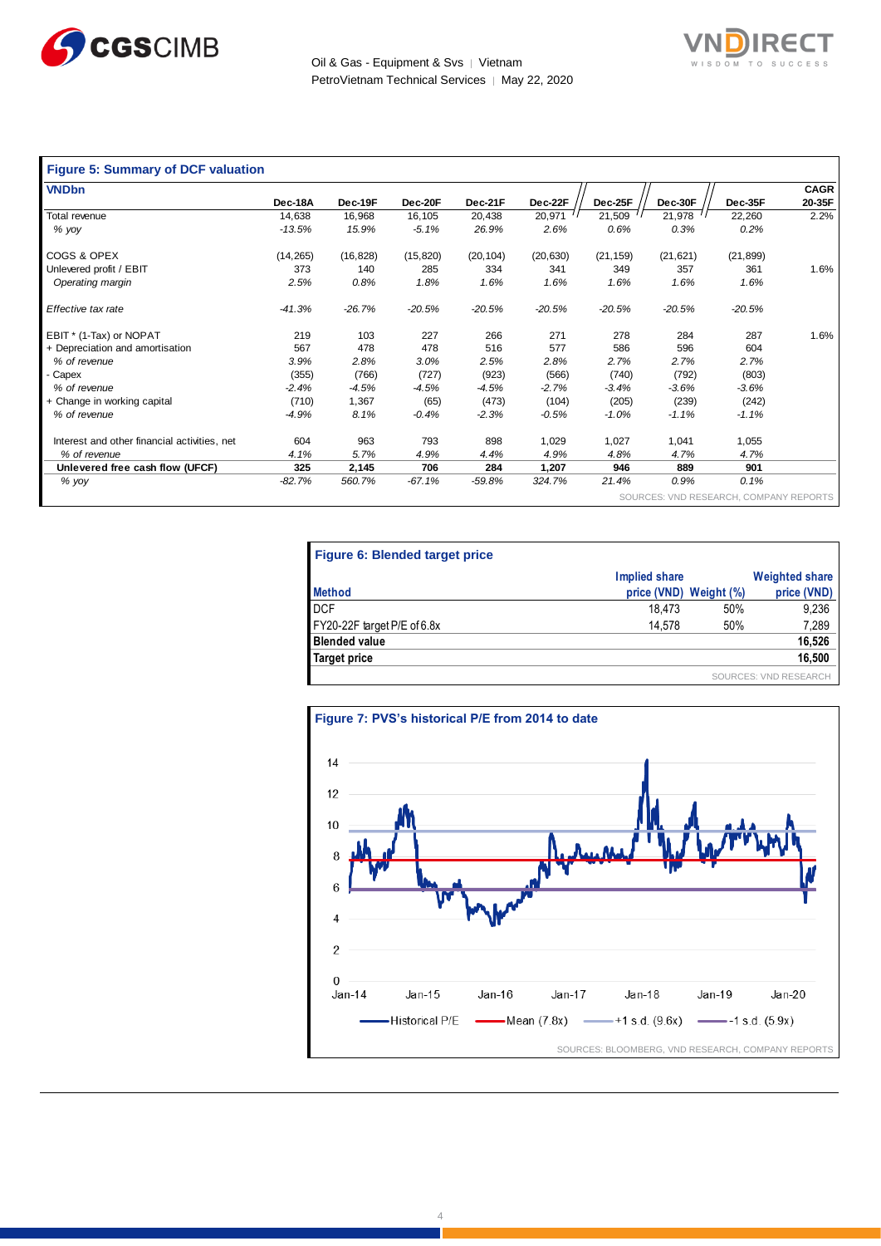



| <b>Figure 5: Summary of DCF valuation</b>    |           |           |           |           |           |           |           |           |             |
|----------------------------------------------|-----------|-----------|-----------|-----------|-----------|-----------|-----------|-----------|-------------|
| <b>VNDbn</b>                                 |           |           |           |           |           |           |           |           | <b>CAGR</b> |
|                                              | Dec-18A   | Dec-19F   | Dec-20F   | Dec-21F   | Dec-22F   | Dec-25F   | Dec-30F   | Dec-35F   | 20-35F      |
| Total revenue                                | 14,638    | 16,968    | 16,105    | 20,438    | 20,971    | 21,509    | 21,978    | 22,260    | 2.2%        |
| % yoy                                        | $-13.5%$  | 15.9%     | $-5.1%$   | 26.9%     | 2.6%      | 0.6%      | 0.3%      | 0.2%      |             |
| COGS & OPEX                                  | (14, 265) | (16, 828) | (15, 820) | (20, 104) | (20, 630) | (21, 159) | (21, 621) | (21, 899) |             |
| Unlevered profit / EBIT                      | 373       | 140       | 285       | 334       | 341       | 349       | 357       | 361       | 1.6%        |
| Operating margin                             | 2.5%      | 0.8%      | 1.8%      | 1.6%      | 1.6%      | 1.6%      | 1.6%      | 1.6%      |             |
| Effective tax rate                           | $-41.3%$  | $-26.7%$  | $-20.5%$  | $-20.5%$  | $-20.5%$  | $-20.5%$  | $-20.5%$  | $-20.5%$  |             |
| EBIT * (1-Tax) or NOPAT                      | 219       | 103       | 227       | 266       | 271       | 278       | 284       | 287       | 1.6%        |
| + Depreciation and amortisation              | 567       | 478       | 478       | 516       | 577       | 586       | 596       | 604       |             |
| % of revenue                                 | 3.9%      | 2.8%      | 3.0%      | 2.5%      | 2.8%      | 2.7%      | 2.7%      | 2.7%      |             |
| Capex                                        | (355)     | (766)     | (727)     | (923)     | (566)     | (740)     | (792)     | (803)     |             |
| % of revenue                                 | $-2.4%$   | $-4.5%$   | $-4.5%$   | $-4.5%$   | $-2.7%$   | $-3.4%$   | $-3.6%$   | $-3.6%$   |             |
| + Change in working capital                  | (710)     | 1,367     | (65)      | (473)     | (104)     | (205)     | (239)     | (242)     |             |
| % of revenue                                 | $-4.9%$   | 8.1%      | $-0.4%$   | $-2.3%$   | $-0.5%$   | $-1.0%$   | $-1.1%$   | $-1.1%$   |             |
| Interest and other financial activities, net | 604       | 963       | 793       | 898       | 1,029     | 1,027     | 1,041     | 1,055     |             |
| % of revenue                                 | 4.1%      | 5.7%      | 4.9%      | 4.4%      | 4.9%      | 4.8%      | 4.7%      | 4.7%      |             |
| Unlevered free cash flow (UFCF)              | 325       | 2,145     | 706       | 284       | 1,207     | 946       | 889       | 901       |             |
| % yoy                                        | $-82.7%$  | 560.7%    | $-67.1%$  | $-59.8%$  | 324.7%    | 21.4%     | 0.9%      | 0.1%      |             |

VND RESEARCH, COMPANY REPORTS

| Figure 6: Blended target price |                        |     |                              |
|--------------------------------|------------------------|-----|------------------------------|
|                                | Implied share          |     | <b>Weighted share</b>        |
| <b>Method</b>                  | price (VND) Weight (%) |     | price (VND)                  |
| <b>DCF</b>                     | 18.473                 | 50% | 9,236                        |
| FY20-22F target P/E of 6.8x    | 14.578                 | 50% | 7,289                        |
| <b>Blended value</b>           |                        |     | 16,526                       |
| Target price                   |                        |     | 16,500                       |
|                                |                        |     | <b>SOURCES: VND RESEARCH</b> |

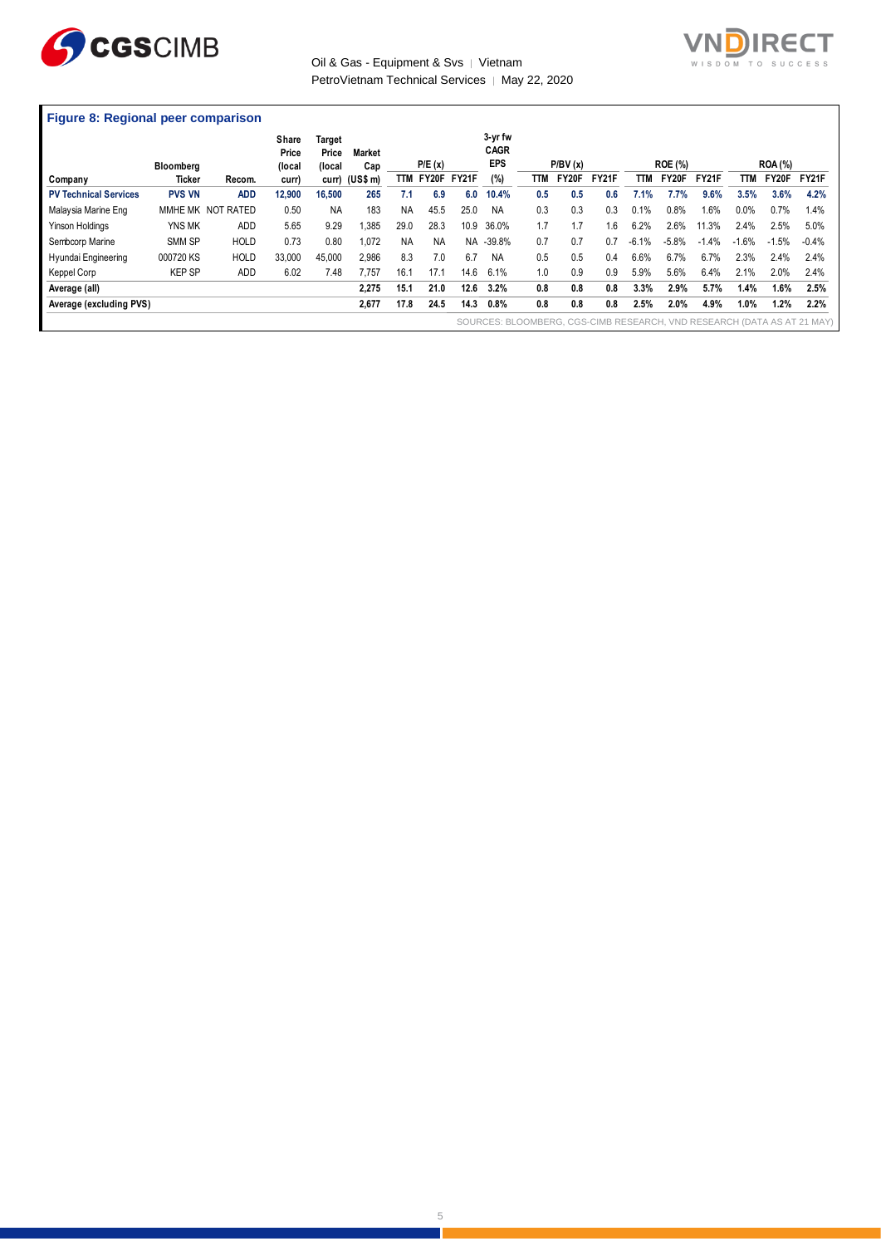

## Oil & Gas - Equipment & Svs | Vietnam PetroVietnam Technical Services | May 22, 2020



### **Figure 8: Regional peer comparison**

|                              | Bloomberg     |                   | Share<br>Price<br>(local | Target<br>Price<br>(local | <b>Market</b><br>Cap |           | P/E(x)          |      | 3-yr fw<br><b>CAGR</b><br><b>EPS</b> |     | P/BV(x) |              |            | <b>ROE (%)</b> |              |         | <b>ROA</b> (%) |                                                                         |
|------------------------------|---------------|-------------------|--------------------------|---------------------------|----------------------|-----------|-----------------|------|--------------------------------------|-----|---------|--------------|------------|----------------|--------------|---------|----------------|-------------------------------------------------------------------------|
| Company                      | Ticker        | Recom.            | curr)                    |                           | curr) (US\$ m)       |           | TTM FY20F FY21F |      | (%)                                  | TTM | FY20F   | <b>FY21F</b> | <b>TTM</b> | FY20F          | <b>FY21F</b> | TTM     | FY20F          | FY21F                                                                   |
| <b>PV Technical Services</b> | <b>PVS VN</b> | <b>ADD</b>        | 12,900                   | 16,500                    | 265                  | 7.1       | 6.9             | 6.0  | 10.4%                                | 0.5 | 0.5     | 0.6          | 7.1%       | 7.7%           | 9.6%         | 3.5%    | 3.6%           | 4.2%                                                                    |
| Malaysia Marine Eng          |               | MMHE MK NOT RATED | 0.50                     | <b>NA</b>                 | 183                  | <b>NA</b> | 45.5            | 25.0 | NA                                   | 0.3 | 0.3     | 0.3          | 0.1%       | 0.8%           | 1.6%         | 0.0%    | 0.7%           | 1.4%                                                                    |
| <b>Yinson Holdings</b>       | YNS MK        | <b>ADD</b>        | 5.65                     | 9.29                      | .385                 | 29.0      | 28.3            | 10.9 | 36.0%                                | 1.7 | 1.7     | 1.6          | 6.2%       | 2.6%           | 11.3%        | 2.4%    | 2.5%           | 5.0%                                                                    |
| Sembcorp Marine              | SMM SP        | <b>HOLD</b>       | 0.73                     | 0.80                      | 1.072                | <b>NA</b> | <b>NA</b>       | NA.  | $-39.8%$                             | 0.7 | 0.7     | 0.7          | $-6.1%$    | $-5.8%$        | $-1.4%$      | $-1.6%$ | $-1.5%$        | $-0.4%$                                                                 |
| Hyundai Engineering          | 000720 KS     | <b>HOLD</b>       | 33.000                   | 45.000                    | 2.986                | 8.3       | 7.0             | 6.7  | <b>NA</b>                            | 0.5 | 0.5     | 0.4          | 6.6%       | 6.7%           | 6.7%         | 2.3%    | 2.4%           | 2.4%                                                                    |
| Keppel Corp                  | <b>KEP SP</b> | <b>ADD</b>        | 6.02                     | 7.48                      | 7.757                | 16.1      | 17.1            | 14.6 | 6.1%                                 | 1.0 | 0.9     | 0.9          | 5.9%       | 5.6%           | 6.4%         | 2.1%    | 2.0%           | 2.4%                                                                    |
| Average (all)                |               |                   |                          |                           | 2.275                | 15.1      | 21.0            | 12.6 | 3.2%                                 | 0.8 | 0.8     | 0.8          | 3.3%       | 2.9%           | 5.7%         | 1.4%    | 1.6%           | 2.5%                                                                    |
| Average (excluding PVS)      |               |                   |                          |                           | 2,677                | 17.8      | 24.5            | 14.3 | 0.8%                                 | 0.8 | 0.8     | 0.8          | 2.5%       | 2.0%           | 4.9%         | 1.0%    | 1.2%           | 2.2%                                                                    |
|                              |               |                   |                          |                           |                      |           |                 |      |                                      |     |         |              |            |                |              |         |                | SOURCES: BLOOMBERG, CGS-CIMB RESEARCH, VND RESEARCH (DATA AS AT 21 MAY) |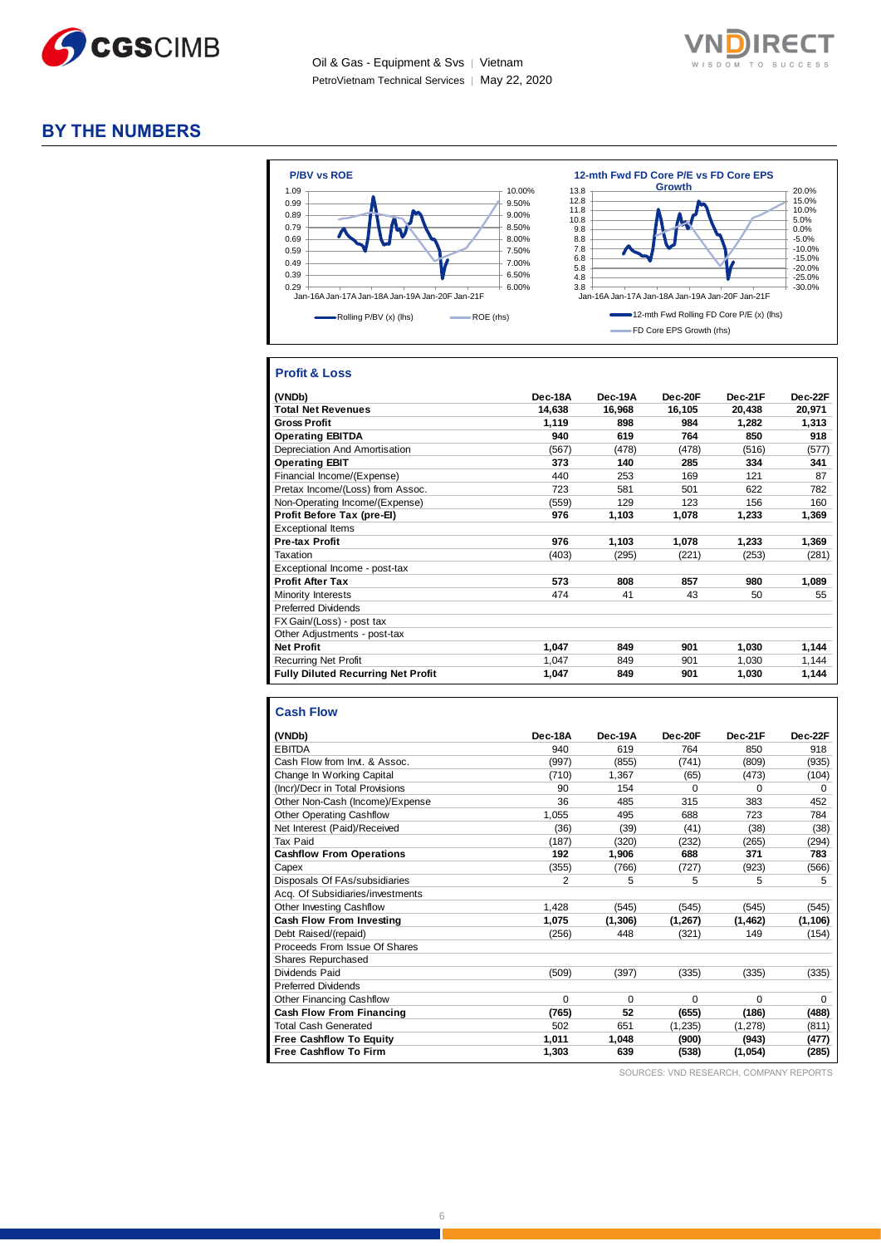

Oil & Gas - Equipment & Svs │ Vietnam PetroVietnam Technical Services | May 22, 2020



# **BY THE NUMBERS**



## **Profit & Loss**

| (VNDb)                                    | Dec-18A | Dec-19A | Dec-20F | Dec-21F | Dec-22F |
|-------------------------------------------|---------|---------|---------|---------|---------|
| <b>Total Net Revenues</b>                 | 14,638  | 16,968  | 16,105  | 20,438  | 20,971  |
| <b>Gross Profit</b>                       | 1,119   | 898     | 984     | 1,282   | 1,313   |
| <b>Operating EBITDA</b>                   | 940     | 619     | 764     | 850     | 918     |
| Depreciation And Amortisation             | (567)   | (478)   | (478)   | (516)   | (577)   |
| <b>Operating EBIT</b>                     | 373     | 140     | 285     | 334     | 341     |
| Financial Income/(Expense)                | 440     | 253     | 169     | 121     | 87      |
| Pretax Income/(Loss) from Assoc.          | 723     | 581     | 501     | 622     | 782     |
| Non-Operating Income/(Expense)            | (559)   | 129     | 123     | 156     | 160     |
| Profit Before Tax (pre-El)                | 976     | 1,103   | 1,078   | 1,233   | 1,369   |
| <b>Exceptional Items</b>                  |         |         |         |         |         |
| <b>Pre-tax Profit</b>                     | 976     | 1,103   | 1,078   | 1,233   | 1,369   |
| Taxation                                  | (403)   | (295)   | (221)   | (253)   | (281)   |
| Exceptional Income - post-tax             |         |         |         |         |         |
| <b>Profit After Tax</b>                   | 573     | 808     | 857     | 980     | 1,089   |
| Minority Interests                        | 474     | 41      | 43      | 50      | 55      |
| <b>Preferred Dividends</b>                |         |         |         |         |         |
| FX Gain/(Loss) - post tax                 |         |         |         |         |         |
| Other Adjustments - post-tax              |         |         |         |         |         |
| <b>Net Profit</b>                         | 1,047   | 849     | 901     | 1,030   | 1,144   |
| <b>Recurring Net Profit</b>               | 1,047   | 849     | 901     | 1.030   | 1,144   |
| <b>Fully Diluted Recurring Net Profit</b> | 1,047   | 849     | 901     | 1,030   | 1,144   |

#### **Cash Flow**

| (VNDb)                           | Dec-18A  | Dec-19A  | Dec-20F  | Dec-21F  | Dec-22F     |
|----------------------------------|----------|----------|----------|----------|-------------|
| <b>EBITDA</b>                    | 940      | 619      | 764      | 850      | 918         |
| Cash Flow from Invt. & Assoc.    | (997)    | (855)    | (741)    | (809)    | (935)       |
| Change In Working Capital        | (710)    | 1,367    | (65)     | (473)    | (104)       |
| (Incr)/Decr in Total Provisions  | 90       | 154      | $\Omega$ | $\Omega$ | $\mathbf 0$ |
| Other Non-Cash (Income)/Expense  | 36       | 485      | 315      | 383      | 452         |
| <b>Other Operating Cashflow</b>  | 1,055    | 495      | 688      | 723      | 784         |
| Net Interest (Paid)/Received     | (36)     | (39)     | (41)     | (38)     | (38)        |
| Tax Paid                         | (187)    | (320)    | (232)    | (265)    | (294)       |
| <b>Cashflow From Operations</b>  | 192      | 1,906    | 688      | 371      | 783         |
| Capex                            | (355)    | (766)    | (727)    | (923)    | (566)       |
| Disposals Of FAs/subsidiaries    | 2        | 5        | 5        | 5        | 5           |
| Acq. Of Subsidiaries/investments |          |          |          |          |             |
| <b>Other Investing Cashflow</b>  | 1,428    | (545)    | (545)    | (545)    | (545)       |
| Cash Flow From Investing         | 1,075    | (1, 306) | (1, 267) | (1, 462) | (1, 106)    |
| Debt Raised/(repaid)             | (256)    | 448      | (321)    | 149      | (154)       |
| Proceeds From Issue Of Shares    |          |          |          |          |             |
| <b>Shares Repurchased</b>        |          |          |          |          |             |
| Dividends Paid                   | (509)    | (397)    | (335)    | (335)    | (335)       |
| <b>Preferred Dividends</b>       |          |          |          |          |             |
| <b>Other Financing Cashflow</b>  | $\Omega$ | $\Omega$ | $\Omega$ | $\Omega$ | $\Omega$    |
| <b>Cash Flow From Financing</b>  | (765)    | 52       | (655)    | (186)    | (488)       |
| <b>Total Cash Generated</b>      | 502      | 651      | (1, 235) | (1, 278) | (811)       |
| <b>Free Cashflow To Equity</b>   | 1,011    | 1.048    | (900)    | (943)    | (477)       |
| <b>Free Cashflow To Firm</b>     | 1,303    | 639      | (538)    | (1,054)  | (285)       |

SOURCES: VND RESEARCH, COMPANY REPORTS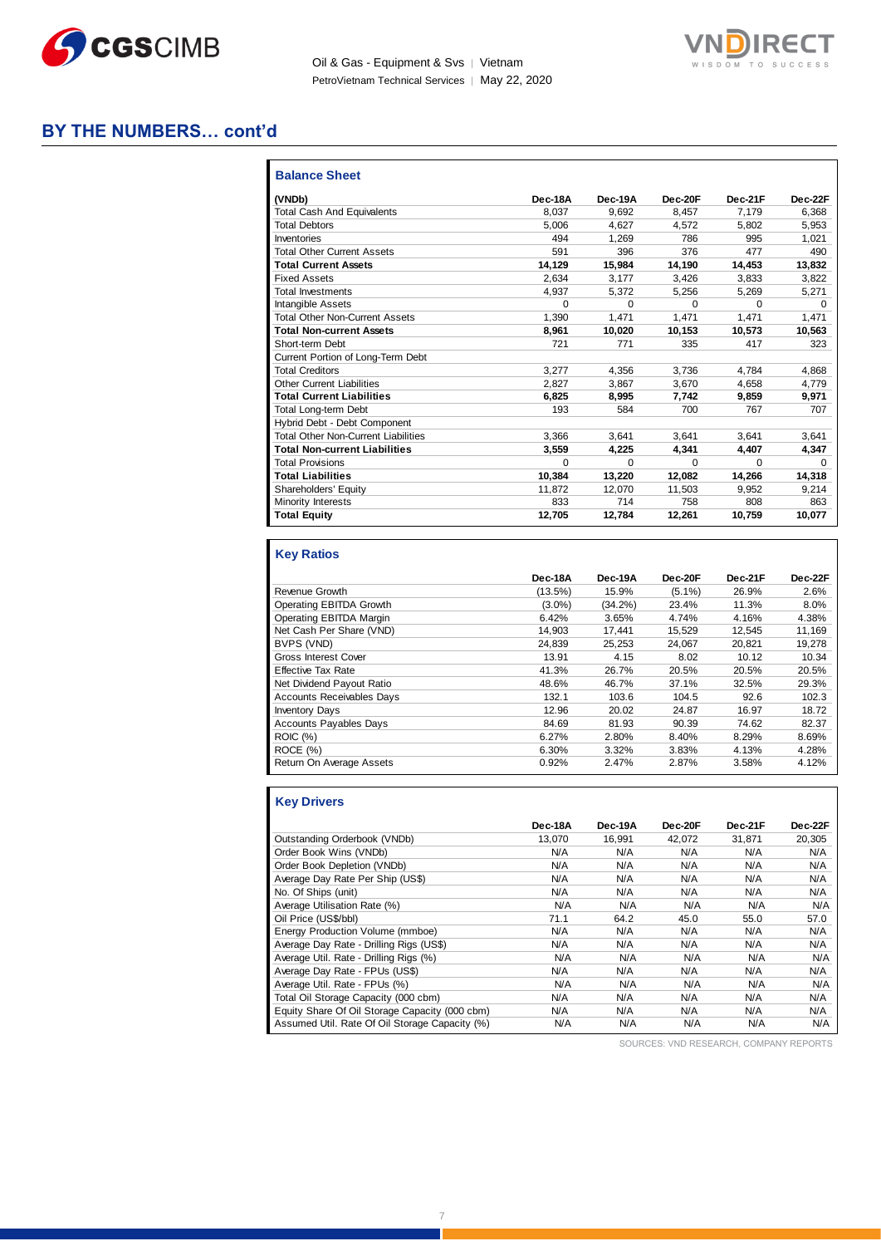

Oil & Gas - Equipment & Svs | Vietnam PetroVietnam Technical Services | May 22, 2020



# **BY THE NUMBERS… cont'd**

| (VNDb)                                     | Dec-18A  | Dec-19A  | Dec-20F  | Dec-21F  | Dec-22F  |
|--------------------------------------------|----------|----------|----------|----------|----------|
| <b>Total Cash And Equivalents</b>          | 8.037    | 9.692    | 8.457    | 7.179    | 6,368    |
| <b>Total Debtors</b>                       | 5.006    | 4.627    | 4.572    | 5.802    | 5,953    |
| Inventories                                | 494      | 1.269    | 786      | 995      | 1.021    |
| <b>Total Other Current Assets</b>          | 591      | 396      | 376      | 477      | 490      |
| <b>Total Current Assets</b>                | 14,129   | 15,984   | 14,190   | 14,453   | 13,832   |
| <b>Fixed Assets</b>                        | 2.634    | 3.177    | 3.426    | 3,833    | 3,822    |
| <b>Total Investments</b>                   | 4.937    | 5.372    | 5,256    | 5,269    | 5,271    |
| <b>Intangible Assets</b>                   | $\Omega$ | $\Omega$ | $\Omega$ | $\Omega$ | $\Omega$ |
| <b>Total Other Non-Current Assets</b>      | 1,390    | 1,471    | 1,471    | 1.471    | 1,471    |
| <b>Total Non-current Assets</b>            | 8,961    | 10,020   | 10,153   | 10,573   | 10,563   |
| Short-term Debt                            | 721      | 771      | 335      | 417      | 323      |
| Current Portion of Long-Term Debt          |          |          |          |          |          |
| <b>Total Creditors</b>                     | 3.277    | 4.356    | 3,736    | 4.784    | 4,868    |
| <b>Other Current Liabilities</b>           | 2.827    | 3.867    | 3.670    | 4.658    | 4,779    |
| <b>Total Current Liabilities</b>           | 6.825    | 8.995    | 7.742    | 9.859    | 9.971    |
| Total Long-term Debt                       | 193      | 584      | 700      | 767      | 707      |
| Hybrid Debt - Debt Component               |          |          |          |          |          |
| <b>Total Other Non-Current Liabilities</b> | 3.366    | 3.641    | 3.641    | 3.641    | 3,641    |
| <b>Total Non-current Liabilities</b>       | 3,559    | 4,225    | 4.341    | 4.407    | 4,347    |
| <b>Total Provisions</b>                    | $\Omega$ | $\Omega$ | $\Omega$ | $\Omega$ | $\Omega$ |
| <b>Total Liabilities</b>                   | 10,384   | 13,220   | 12,082   | 14,266   | 14,318   |
| Shareholders' Equity                       | 11,872   | 12,070   | 11,503   | 9.952    | 9,214    |
| Minority Interests                         | 833      | 714      | 758      | 808      | 863      |
| <b>Total Equity</b>                        | 12,705   | 12.784   | 12,261   | 10,759   | 10,077   |

# **Key Ratios**

|                                  | Dec-18A    | Dec-19A    | Dec-20F   | Dec-21F | Dec-22F |
|----------------------------------|------------|------------|-----------|---------|---------|
| Revenue Growth                   | $(13.5\%)$ | 15.9%      | $(5.1\%)$ | 26.9%   | 2.6%    |
| Operating EBITDA Growth          | $(3.0\%)$  | $(34.2\%)$ | 23.4%     | 11.3%   | 8.0%    |
| Operating EBITDA Margin          | 6.42%      | 3.65%      | 4.74%     | 4.16%   | 4.38%   |
| Net Cash Per Share (VND)         | 14.903     | 17.441     | 15.529    | 12.545  | 11.169  |
| BVPS (VND)                       | 24.839     | 25.253     | 24.067    | 20.821  | 19.278  |
| <b>Gross Interest Cover</b>      | 13.91      | 4.15       | 8.02      | 10.12   | 10.34   |
| <b>Effective Tax Rate</b>        | 41.3%      | 26.7%      | 20.5%     | 20.5%   | 20.5%   |
| Net Dividend Payout Ratio        | 48.6%      | 46.7%      | 37.1%     | 32.5%   | 29.3%   |
| <b>Accounts Receivables Days</b> | 132.1      | 103.6      | 104.5     | 92.6    | 102.3   |
| <b>Inventory Days</b>            | 12.96      | 20.02      | 24.87     | 16.97   | 18.72   |
| <b>Accounts Payables Days</b>    | 84.69      | 81.93      | 90.39     | 74.62   | 82.37   |
| <b>ROIC</b> (%)                  | 6.27%      | 2.80%      | 8.40%     | 8.29%   | 8.69%   |
| ROCE(%)                          | 6.30%      | 3.32%      | 3.83%     | 4.13%   | 4.28%   |
| Return On Average Assets         | 0.92%      | 2.47%      | 2.87%     | 3.58%   | 4.12%   |

### **Key Drivers**

|                                                | Dec-18A | Dec-19A | Dec-20F | Dec-21F | Dec-22F |
|------------------------------------------------|---------|---------|---------|---------|---------|
| Outstanding Orderbook (VNDb)                   | 13.070  | 16.991  | 42.072  | 31.871  | 20,305  |
| Order Book Wins (VNDb)                         | N/A     | N/A     | N/A     | N/A     | N/A     |
| Order Book Depletion (VNDb)                    | N/A     | N/A     | N/A     | N/A     | N/A     |
| Average Day Rate Per Ship (US\$)               | N/A     | N/A     | N/A     | N/A     | N/A     |
| No. Of Ships (unit)                            | N/A     | N/A     | N/A     | N/A     | N/A     |
| Average Utilisation Rate (%)                   | N/A     | N/A     | N/A     | N/A     | N/A     |
| Oil Price (US\$/bbl)                           | 71.1    | 64.2    | 45.0    | 55.0    | 57.0    |
| Energy Production Volume (mmboe)               | N/A     | N/A     | N/A     | N/A     | N/A     |
| Average Day Rate - Drilling Rigs (US\$)        | N/A     | N/A     | N/A     | N/A     | N/A     |
| Average Util. Rate - Drilling Rigs (%)         | N/A     | N/A     | N/A     | N/A     | N/A     |
| Average Day Rate - FPUs (US\$)                 | N/A     | N/A     | N/A     | N/A     | N/A     |
| Average Util. Rate - FPUs (%)                  | N/A     | N/A     | N/A     | N/A     | N/A     |
| Total Oil Storage Capacity (000 cbm)           | N/A     | N/A     | N/A     | N/A     | N/A     |
| Equity Share Of Oil Storage Capacity (000 cbm) | N/A     | N/A     | N/A     | N/A     | N/A     |
| Assumed Util. Rate Of Oil Storage Capacity (%) | N/A     | N/A     | N/A     | N/A     | N/A     |

SOURCES: VND RESEARCH, COMPANY REPORTS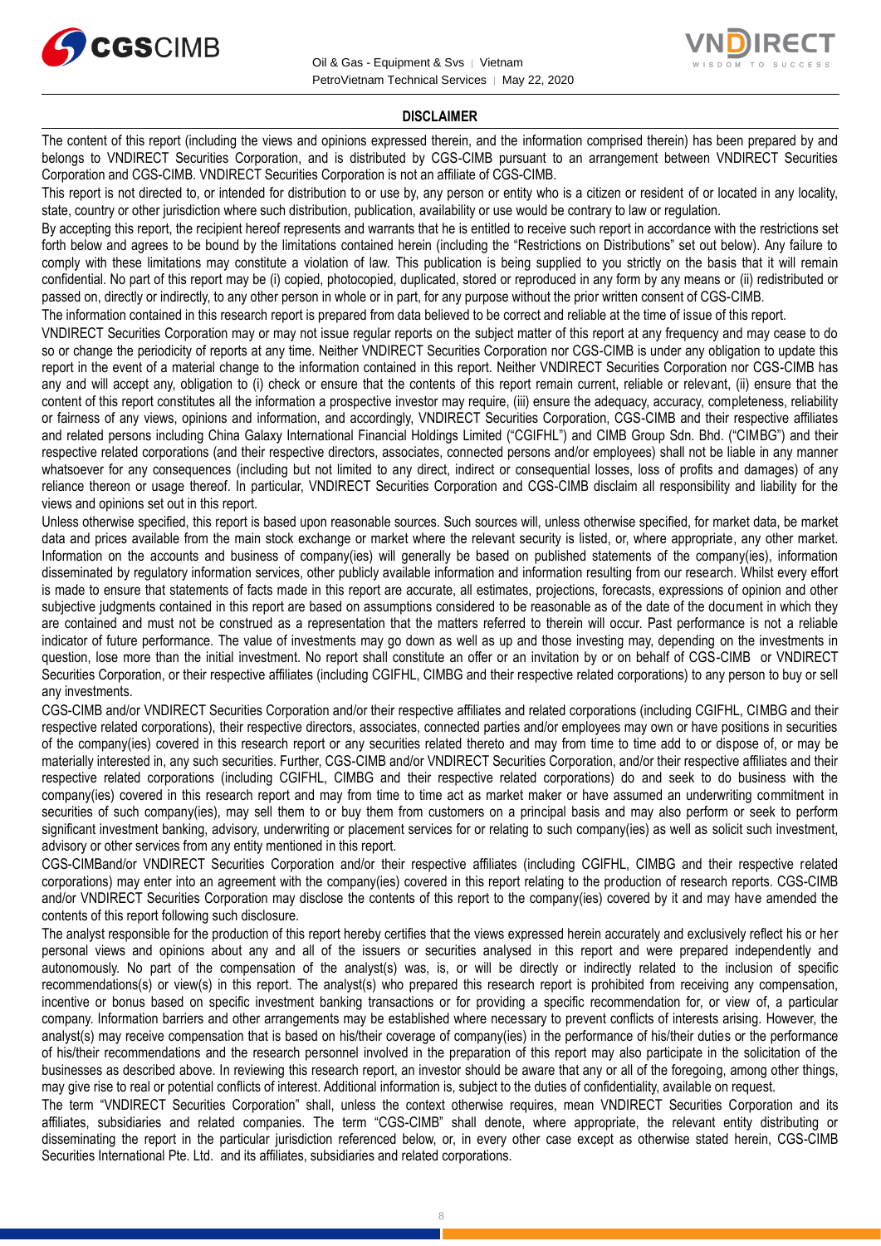



#### **DISCLAIMER**

The content of this report (including the views and opinions expressed therein, and the information comprised therein) has been prepared by and belongs to VNDIRECT Securities Corporation, and is distributed by CGS-CIMB pursuant to an arrangement between VNDIRECT Securities Corporation and CGS-CIMB. VNDIRECT Securities Corporation is not an affiliate of CGS-CIMB.

This report is not directed to, or intended for distribution to or use by, any person or entity who is a citizen or resident of or located in any locality, state, country or other jurisdiction where such distribution, publication, availability or use would be contrary to law or regulation.

By accepting this report, the recipient hereof represents and warrants that he is entitled to receive such report in accordance with the restrictions set forth below and agrees to be bound by the limitations contained herein (including the "Restrictions on Distributions" set out below). Any failure to comply with these limitations may constitute a violation of law. This publication is being supplied to you strictly on the basis that it will remain confidential. No part of this report may be (i) copied, photocopied, duplicated, stored or reproduced in any form by any means or (ii) redistributed or passed on, directly or indirectly, to any other person in whole or in part, for any purpose without the prior written consent of CGS-CIMB.

The information contained in this research report is prepared from data believed to be correct and reliable at the time of issue of this report.

VNDIRECT Securities Corporation may or may not issue regular reports on the subject matter of this report at any frequency and may cease to do so or change the periodicity of reports at any time. Neither VNDIRECT Securities Corporation nor CGS-CIMB is under any obligation to update this report in the event of a material change to the information contained in this report. Neither VNDIRECT Securities Corporation nor CGS-CIMB has any and will accept any, obligation to (i) check or ensure that the contents of this report remain current, reliable or relevant, (ii) ensure that the content of this report constitutes all the information a prospective investor may require, (iii) ensure the adequacy, accuracy, completeness, reliability or fairness of any views, opinions and information, and accordingly, VNDIRECT Securities Corporation, CGS-CIMB and their respective affiliates and related persons including China Galaxy International Financial Holdings Limited ("CGIFHL") and CIMB Group Sdn. Bhd. ("CIMBG") and their respective related corporations (and their respective directors, associates, connected persons and/or employees) shall not be liable in any manner whatsoever for any consequences (including but not limited to any direct, indirect or consequential losses, loss of profits and damages) of any reliance thereon or usage thereof. In particular, VNDIRECT Securities Corporation and CGS-CIMB disclaim all responsibility and liability for the views and opinions set out in this report.

Unless otherwise specified, this report is based upon reasonable sources. Such sources will, unless otherwise specified, for market data, be market data and prices available from the main stock exchange or market where the relevant security is listed, or, where appropriate, any other market. Information on the accounts and business of company(ies) will generally be based on published statements of the company(ies), information disseminated by regulatory information services, other publicly available information and information resulting from our research. Whilst every effort is made to ensure that statements of facts made in this report are accurate, all estimates, projections, forecasts, expressions of opinion and other subjective judgments contained in this report are based on assumptions considered to be reasonable as of the date of the document in which they are contained and must not be construed as a representation that the matters referred to therein will occur. Past performance is not a reliable indicator of future performance. The value of investments may go down as well as up and those investing may, depending on the investments in question, lose more than the initial investment. No report shall constitute an offer or an invitation by or on behalf of CGS-CIMB or VNDIRECT Securities Corporation, or their respective affiliates (including CGIFHL, CIMBG and their respective related corporations) to any person to buy or sell any investments.

CGS-CIMB and/or VNDIRECT Securities Corporation and/or their respective affiliates and related corporations (including CGIFHL, CIMBG and their respective related corporations), their respective directors, associates, connected parties and/or employees may own or have positions in securities of the company(ies) covered in this research report or any securities related thereto and may from time to time add to or dispose of, or may be materially interested in, any such securities. Further, CGS-CIMB and/or VNDIRECT Securities Corporation, and/or their respective affiliates and their respective related corporations (including CGIFHL, CIMBG and their respective related corporations) do and seek to do business with the company(ies) covered in this research report and may from time to time act as market maker or have assumed an underwriting commitment in securities of such company(ies), may sell them to or buy them from customers on a principal basis and may also perform or seek to perform significant investment banking, advisory, underwriting or placement services for or relating to such company(ies) as well as solicit such investment, advisory or other services from any entity mentioned in this report.

CGS-CIMBand/or VNDIRECT Securities Corporation and/or their respective affiliates (including CGIFHL, CIMBG and their respective related corporations) may enter into an agreement with the company(ies) covered in this report relating to the production of research reports. CGS-CIMB and/or VNDIRECT Securities Corporation may disclose the contents of this report to the company(ies) covered by it and may have amended the contents of this report following such disclosure.

The analyst responsible for the production of this report hereby certifies that the views expressed herein accurately and exclusively reflect his or her personal views and opinions about any and all of the issuers or securities analysed in this report and were prepared independently and autonomously. No part of the compensation of the analyst(s) was, is, or will be directly or indirectly related to the inclusion of specific recommendations(s) or view(s) in this report. The analyst(s) who prepared this research report is prohibited from receiving any compensation, incentive or bonus based on specific investment banking transactions or for providing a specific recommendation for, or view of, a particular company. Information barriers and other arrangements may be established where necessary to prevent conflicts of interests arising. However, the analyst(s) may receive compensation that is based on his/their coverage of company(ies) in the performance of his/their duties or the performance of his/their recommendations and the research personnel involved in the preparation of this report may also participate in the solicitation of the businesses as described above. In reviewing this research report, an investor should be aware that any or all of the foregoing, among other things, may give rise to real or potential conflicts of interest. Additional information is, subject to the duties of confidentiality, available on request.

The term "VNDIRECT Securities Corporation" shall, unless the context otherwise requires, mean VNDIRECT Securities Corporation and its affiliates, subsidiaries and related companies. The term "CGS-CIMB" shall denote, where appropriate, the relevant entity distributing or disseminating the report in the particular jurisdiction referenced below, or, in every other case except as otherwise stated herein, CGS-CIMB Securities International Pte. Ltd. and its affiliates, subsidiaries and related corporations.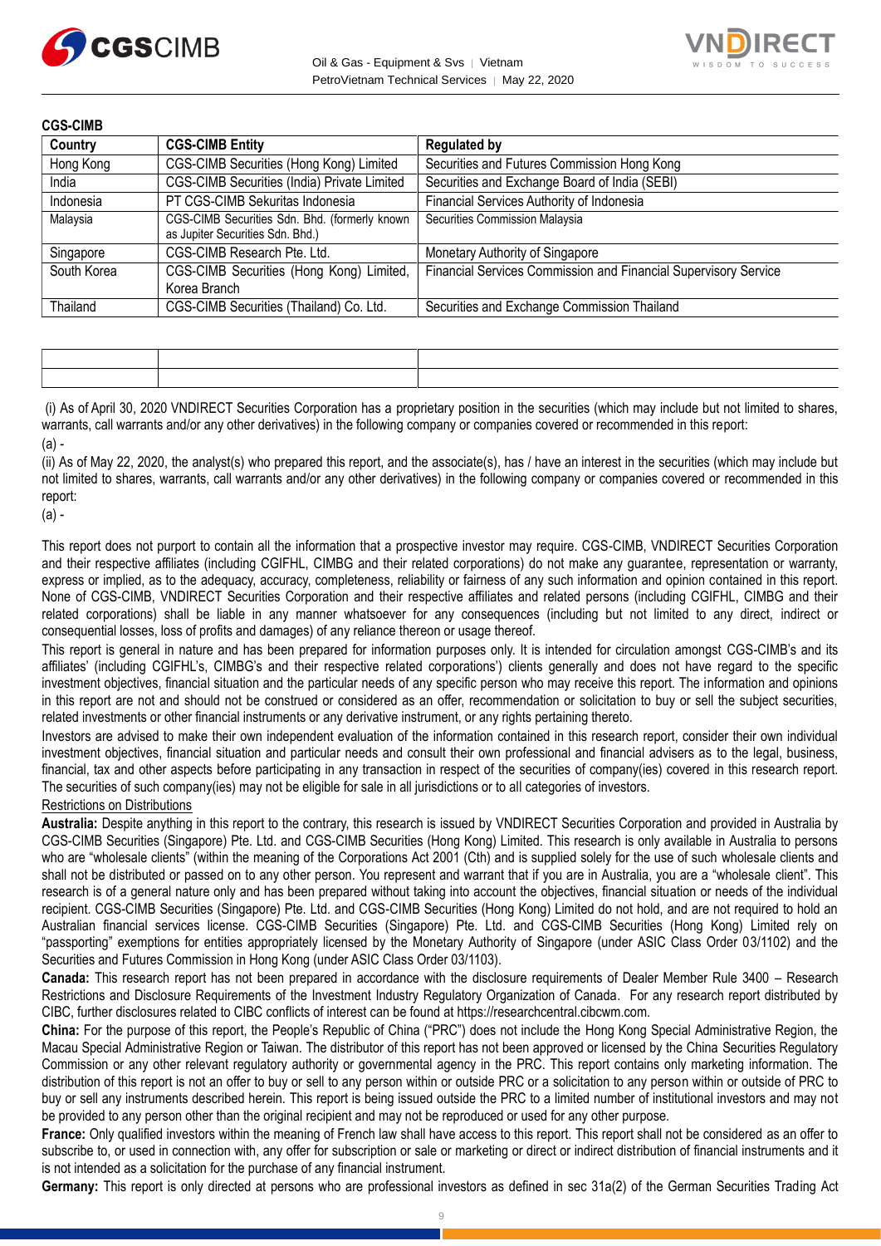



| <b>CGS-CIMB</b> |                                                                                   |                                                                 |
|-----------------|-----------------------------------------------------------------------------------|-----------------------------------------------------------------|
| Country         | <b>CGS-CIMB Entity</b>                                                            | <b>Regulated by</b>                                             |
| Hong Kong       | CGS-CIMB Securities (Hong Kong) Limited                                           | Securities and Futures Commission Hong Kong                     |
| India           | CGS-CIMB Securities (India) Private Limited                                       | Securities and Exchange Board of India (SEBI)                   |
| Indonesia       | PT CGS-CIMB Sekuritas Indonesia                                                   | Financial Services Authority of Indonesia                       |
| Malaysia        | CGS-CIMB Securities Sdn. Bhd. (formerly known<br>as Jupiter Securities Sdn. Bhd.) | Securities Commission Malaysia                                  |
| Singapore       | CGS-CIMB Research Pte. Ltd.                                                       | Monetary Authority of Singapore                                 |
| South Korea     | CGS-CIMB Securities (Hong Kong) Limited,                                          | Financial Services Commission and Financial Supervisory Service |
|                 | Korea Branch                                                                      |                                                                 |
| Thailand        | CGS-CIMB Securities (Thailand) Co. Ltd.                                           | Securities and Exchange Commission Thailand                     |

(i) As of April 30, 2020 VNDIRECT Securities Corporation has a proprietary position in the securities (which may include but not limited to shares, warrants, call warrants and/or any other derivatives) in the following company or companies covered or recommended in this report:  $(a)$ .

(ii) As of May 22, 2020, the analyst(s) who prepared this report, and the associate(s), has / have an interest in the securities (which may include but not limited to shares, warrants, call warrants and/or any other derivatives) in the following company or companies covered or recommended in this report:

(a) -

This report does not purport to contain all the information that a prospective investor may require. CGS-CIMB, VNDIRECT Securities Corporation and their respective affiliates (including CGIFHL, CIMBG and their related corporations) do not make any guarantee, representation or warranty, express or implied, as to the adequacy, accuracy, completeness, reliability or fairness of any such information and opinion contained in this report. None of CGS-CIMB, VNDIRECT Securities Corporation and their respective affiliates and related persons (including CGIFHL, CIMBG and their related corporations) shall be liable in any manner whatsoever for any consequences (including but not limited to any direct, indirect or consequential losses, loss of profits and damages) of any reliance thereon or usage thereof.

This report is general in nature and has been prepared for information purposes only. It is intended for circulation amongst CGS-CIMB's and its affiliates' (including CGIFHL's, CIMBG's and their respective related corporations') clients generally and does not have regard to the specific investment objectives, financial situation and the particular needs of any specific person who may receive this report. The information and opinions in this report are not and should not be construed or considered as an offer, recommendation or solicitation to buy or sell the subject securities, related investments or other financial instruments or any derivative instrument, or any rights pertaining thereto.

Investors are advised to make their own independent evaluation of the information contained in this research report, consider their own individual investment objectives, financial situation and particular needs and consult their own professional and financial advisers as to the legal, business, financial, tax and other aspects before participating in any transaction in respect of the securities of company(ies) covered in this research report. The securities of such company(ies) may not be eligible for sale in all jurisdictions or to all categories of investors.

#### Restrictions on Distributions

**Australia:** Despite anything in this report to the contrary, this research is issued by VNDIRECT Securities Corporation and provided in Australia by CGS-CIMB Securities (Singapore) Pte. Ltd. and CGS-CIMB Securities (Hong Kong) Limited. This research is only available in Australia to persons who are "wholesale clients" (within the meaning of the Corporations Act 2001 (Cth) and is supplied solely for the use of such wholesale clients and shall not be distributed or passed on to any other person. You represent and warrant that if you are in Australia, you are a "wholesale client". This research is of a general nature only and has been prepared without taking into account the objectives, financial situation or needs of the individual recipient. CGS-CIMB Securities (Singapore) Pte. Ltd. and CGS-CIMB Securities (Hong Kong) Limited do not hold, and are not required to hold an Australian financial services license. CGS-CIMB Securities (Singapore) Pte. Ltd. and CGS-CIMB Securities (Hong Kong) Limited rely on "passporting" exemptions for entities appropriately licensed by the Monetary Authority of Singapore (under ASIC Class Order 03/1102) and the Securities and Futures Commission in Hong Kong (under ASIC Class Order 03/1103).

**Canada:** This research report has not been prepared in accordance with the disclosure requirements of Dealer Member Rule 3400 – Research Restrictions and Disclosure Requirements of the Investment Industry Regulatory Organization of Canada. For any research report distributed by CIBC, further disclosures related to CIBC conflicts of interest can be found at https://researchcentral.cibcwm.com.

**China:** For the purpose of this report, the People's Republic of China ("PRC") does not include the Hong Kong Special Administrative Region, the Macau Special Administrative Region or Taiwan. The distributor of this report has not been approved or licensed by the China Securities Regulatory Commission or any other relevant regulatory authority or governmental agency in the PRC. This report contains only marketing information. The distribution of this report is not an offer to buy or sell to any person within or outside PRC or a solicitation to any person within or outside of PRC to buy or sell any instruments described herein. This report is being issued outside the PRC to a limited number of institutional investors and may not be provided to any person other than the original recipient and may not be reproduced or used for any other purpose.

**France:** Only qualified investors within the meaning of French law shall have access to this report. This report shall not be considered as an offer to subscribe to, or used in connection with, any offer for subscription or sale or marketing or direct or indirect distribution of financial instruments and it is not intended as a solicitation for the purchase of any financial instrument.

**Germany:** This report is only directed at persons who are professional investors as defined in sec 31a(2) of the German Securities Trading Act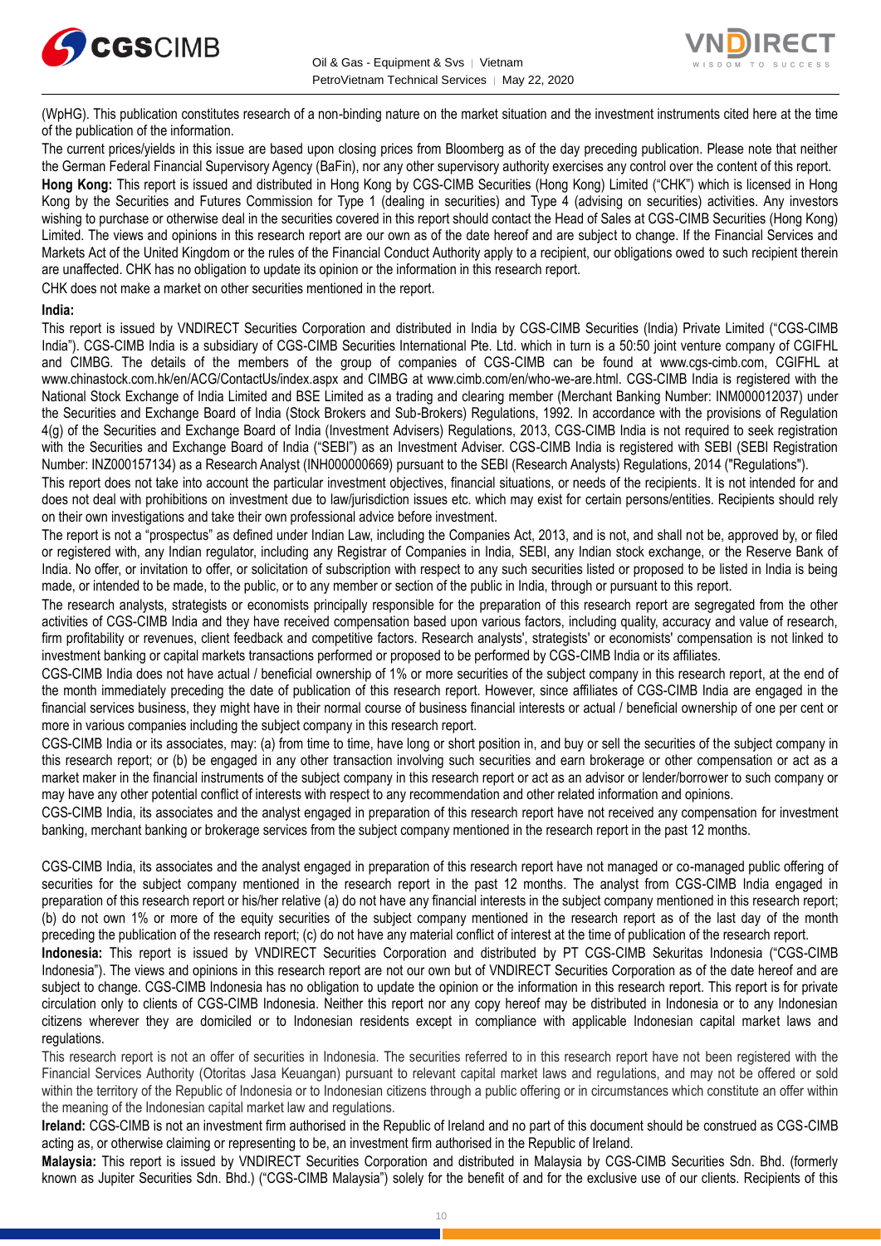



(WpHG). This publication constitutes research of a non-binding nature on the market situation and the investment instruments cited here at the time of the publication of the information.

The current prices/yields in this issue are based upon closing prices from Bloomberg as of the day preceding publication. Please note that neither the German Federal Financial Supervisory Agency (BaFin), nor any other supervisory authority exercises any control over the content of this report. **Hong Kong:** This report is issued and distributed in Hong Kong by CGS-CIMB Securities (Hong Kong) Limited ("CHK") which is licensed in Hong Kong by the Securities and Futures Commission for Type 1 (dealing in securities) and Type 4 (advising on securities) activities. Any investors wishing to purchase or otherwise deal in the securities covered in this report should contact the Head of Sales at CGS-CIMB Securities (Hong Kong) Limited. The views and opinions in this research report are our own as of the date hereof and are subject to change. If the Financial Services and Markets Act of the United Kingdom or the rules of the Financial Conduct Authority apply to a recipient, our obligations owed to such recipient therein are unaffected. CHK has no obligation to update its opinion or the information in this research report.

CHK does not make a market on other securities mentioned in the report.

#### **India:**

This report is issued by VNDIRECT Securities Corporation and distributed in India by CGS-CIMB Securities (India) Private Limited ("CGS-CIMB India"). CGS-CIMB India is a subsidiary of CGS-CIMB Securities International Pte. Ltd. which in turn is a 50:50 joint venture company of CGIFHL and CIMBG. The details of the members of the group of companies of CGS-CIMB can be found at www.cgs-cimb.com, CGIFHL at www.chinastock.com.hk/en/ACG/ContactUs/index.aspx and CIMBG at www.cimb.com/en/who-we-are.html. CGS-CIMB India is registered with the National Stock Exchange of India Limited and BSE Limited as a trading and clearing member (Merchant Banking Number: INM000012037) under the Securities and Exchange Board of India (Stock Brokers and Sub-Brokers) Regulations, 1992. In accordance with the provisions of Regulation 4(g) of the Securities and Exchange Board of India (Investment Advisers) Regulations, 2013, CGS-CIMB India is not required to seek registration with the Securities and Exchange Board of India ("SEBI") as an Investment Adviser. CGS-CIMB India is registered with SEBI (SEBI Registration Number: INZ000157134) as a Research Analyst (INH000000669) pursuant to the SEBI (Research Analysts) Regulations, 2014 ("Regulations").

This report does not take into account the particular investment objectives, financial situations, or needs of the recipients. It is not intended for and does not deal with prohibitions on investment due to law/jurisdiction issues etc. which may exist for certain persons/entities. Recipients should rely on their own investigations and take their own professional advice before investment.

The report is not a "prospectus" as defined under Indian Law, including the Companies Act, 2013, and is not, and shall not be, approved by, or filed or registered with, any Indian regulator, including any Registrar of Companies in India, SEBI, any Indian stock exchange, or the Reserve Bank of India. No offer, or invitation to offer, or solicitation of subscription with respect to any such securities listed or proposed to be listed in India is being made, or intended to be made, to the public, or to any member or section of the public in India, through or pursuant to this report.

The research analysts, strategists or economists principally responsible for the preparation of this research report are segregated from the other activities of CGS-CIMB India and they have received compensation based upon various factors, including quality, accuracy and value of research, firm profitability or revenues, client feedback and competitive factors. Research analysts', strategists' or economists' compensation is not linked to investment banking or capital markets transactions performed or proposed to be performed by CGS-CIMB India or its affiliates.

CGS-CIMB India does not have actual / beneficial ownership of 1% or more securities of the subject company in this research report, at the end of the month immediately preceding the date of publication of this research report. However, since affiliates of CGS-CIMB India are engaged in the financial services business, they might have in their normal course of business financial interests or actual / beneficial ownership of one per cent or more in various companies including the subject company in this research report.

CGS-CIMB India or its associates, may: (a) from time to time, have long or short position in, and buy or sell the securities of the subject company in this research report; or (b) be engaged in any other transaction involving such securities and earn brokerage or other compensation or act as a market maker in the financial instruments of the subject company in this research report or act as an advisor or lender/borrower to such company or may have any other potential conflict of interests with respect to any recommendation and other related information and opinions.

CGS-CIMB India, its associates and the analyst engaged in preparation of this research report have not received any compensation for investment banking, merchant banking or brokerage services from the subject company mentioned in the research report in the past 12 months.

CGS-CIMB India, its associates and the analyst engaged in preparation of this research report have not managed or co-managed public offering of securities for the subject company mentioned in the research report in the past 12 months. The analyst from CGS-CIMB India engaged in preparation of this research report or his/her relative (a) do not have any financial interests in the subject company mentioned in this research report; (b) do not own 1% or more of the equity securities of the subject company mentioned in the research report as of the last day of the month preceding the publication of the research report; (c) do not have any material conflict of interest at the time of publication of the research report.

**Indonesia:** This report is issued by VNDIRECT Securities Corporation and distributed by PT CGS-CIMB Sekuritas Indonesia ("CGS-CIMB Indonesia"). The views and opinions in this research report are not our own but of VNDIRECT Securities Corporation as of the date hereof and are subject to change. CGS-CIMB Indonesia has no obligation to update the opinion or the information in this research report. This report is for private circulation only to clients of CGS-CIMB Indonesia. Neither this report nor any copy hereof may be distributed in Indonesia or to any Indonesian citizens wherever they are domiciled or to Indonesian residents except in compliance with applicable Indonesian capital market laws and regulations.

This research report is not an offer of securities in Indonesia. The securities referred to in this research report have not been registered with the Financial Services Authority (Otoritas Jasa Keuangan) pursuant to relevant capital market laws and regulations, and may not be offered or sold within the territory of the Republic of Indonesia or to Indonesian citizens through a public offering or in circumstances which constitute an offer within the meaning of the Indonesian capital market law and regulations.

**Ireland:** CGS-CIMB is not an investment firm authorised in the Republic of Ireland and no part of this document should be construed as CGS-CIMB acting as, or otherwise claiming or representing to be, an investment firm authorised in the Republic of Ireland.

**Malaysia:** This report is issued by VNDIRECT Securities Corporation and distributed in Malaysia by CGS-CIMB Securities Sdn. Bhd. (formerly known as Jupiter Securities Sdn. Bhd.) ("CGS-CIMB Malaysia") solely for the benefit of and for the exclusive use of our clients. Recipients of this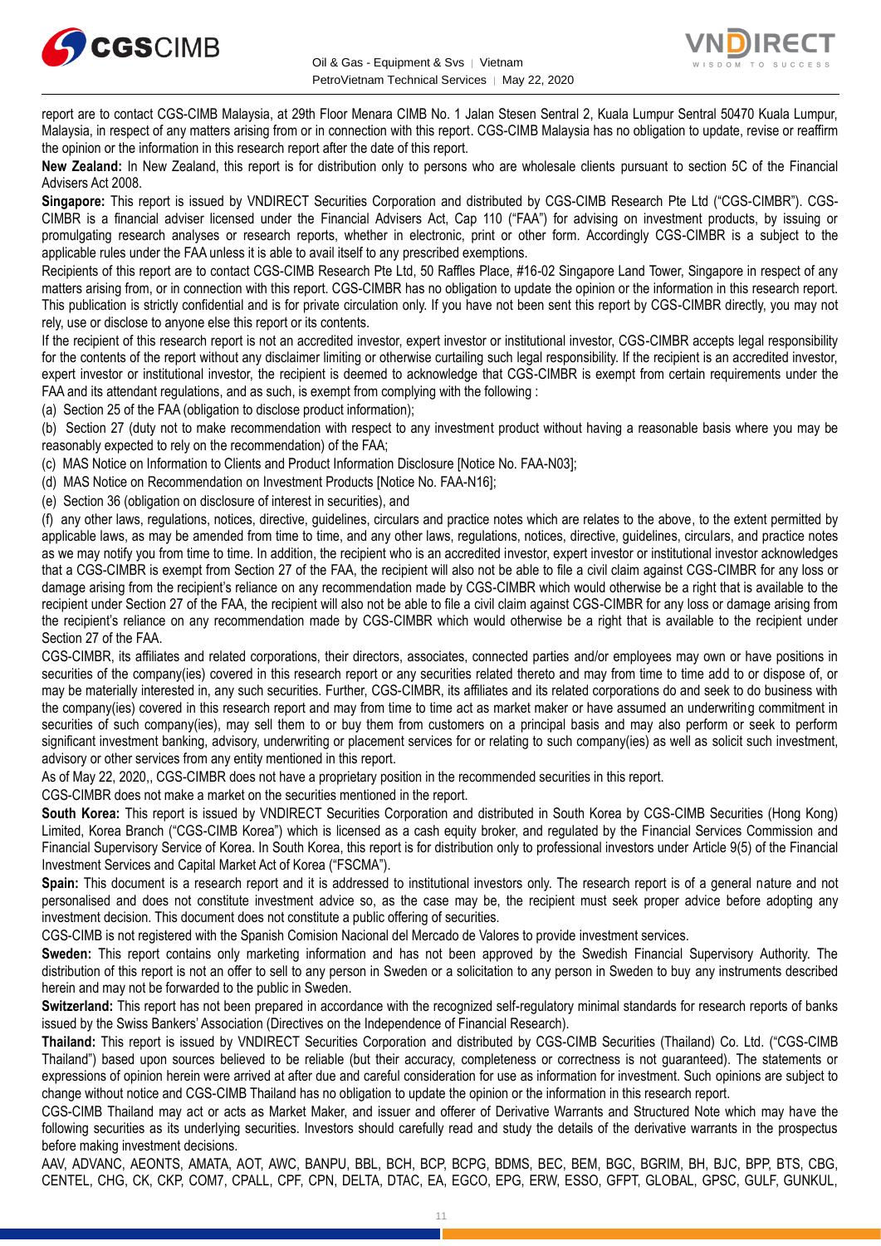



report are to contact CGS-CIMB Malaysia, at 29th Floor Menara CIMB No. 1 Jalan Stesen Sentral 2, Kuala Lumpur Sentral 50470 Kuala Lumpur, Malaysia, in respect of any matters arising from or in connection with this report. CGS-CIMB Malaysia has no obligation to update, revise or reaffirm the opinion or the information in this research report after the date of this report.

**New Zealand:** In New Zealand, this report is for distribution only to persons who are wholesale clients pursuant to section 5C of the Financial Advisers Act 2008.

**Singapore:** This report is issued by VNDIRECT Securities Corporation and distributed by CGS-CIMB Research Pte Ltd ("CGS-CIMBR"). CGS-CIMBR is a financial adviser licensed under the Financial Advisers Act, Cap 110 ("FAA") for advising on investment products, by issuing or promulgating research analyses or research reports, whether in electronic, print or other form. Accordingly CGS-CIMBR is a subject to the applicable rules under the FAA unless it is able to avail itself to any prescribed exemptions.

Recipients of this report are to contact CGS-CIMB Research Pte Ltd, 50 Raffles Place, #16-02 Singapore Land Tower, Singapore in respect of any matters arising from, or in connection with this report. CGS-CIMBR has no obligation to update the opinion or the information in this research report. This publication is strictly confidential and is for private circulation only. If you have not been sent this report by CGS-CIMBR directly, you may not rely, use or disclose to anyone else this report or its contents.

If the recipient of this research report is not an accredited investor, expert investor or institutional investor, CGS-CIMBR accepts legal responsibility for the contents of the report without any disclaimer limiting or otherwise curtailing such legal responsibility. If the recipient is an accredited investor, expert investor or institutional investor, the recipient is deemed to acknowledge that CGS-CIMBR is exempt from certain requirements under the FAA and its attendant regulations, and as such, is exempt from complying with the following :

(a) Section 25 of the FAA (obligation to disclose product information);

(b) Section 27 (duty not to make recommendation with respect to any investment product without having a reasonable basis where you may be reasonably expected to rely on the recommendation) of the FAA;

(c) MAS Notice on Information to Clients and Product Information Disclosure [Notice No. FAA-N03];

(d) MAS Notice on Recommendation on Investment Products [Notice No. FAA-N16];

(e) Section 36 (obligation on disclosure of interest in securities), and

(f) any other laws, regulations, notices, directive, guidelines, circulars and practice notes which are relates to the above, to the extent permitted by applicable laws, as may be amended from time to time, and any other laws, regulations, notices, directive, guidelines, circulars, and practice notes as we may notify you from time to time. In addition, the recipient who is an accredited investor, expert investor or institutional investor acknowledges that a CGS-CIMBR is exempt from Section 27 of the FAA, the recipient will also not be able to file a civil claim against CGS-CIMBR for any loss or damage arising from the recipient's reliance on any recommendation made by CGS-CIMBR which would otherwise be a right that is available to the recipient under Section 27 of the FAA, the recipient will also not be able to file a civil claim against CGS-CIMBR for any loss or damage arising from the recipient's reliance on any recommendation made by CGS-CIMBR which would otherwise be a right that is available to the recipient under Section 27 of the FAA.

CGS-CIMBR, its affiliates and related corporations, their directors, associates, connected parties and/or employees may own or have positions in securities of the company(ies) covered in this research report or any securities related thereto and may from time to time add to or dispose of, or may be materially interested in, any such securities. Further, CGS-CIMBR, its affiliates and its related corporations do and seek to do business with the company(ies) covered in this research report and may from time to time act as market maker or have assumed an underwriting commitment in securities of such company(ies), may sell them to or buy them from customers on a principal basis and may also perform or seek to perform significant investment banking, advisory, underwriting or placement services for or relating to such company(ies) as well as solicit such investment, advisory or other services from any entity mentioned in this report.

As of May 22, 2020,, CGS-CIMBR does not have a proprietary position in the recommended securities in this report.

CGS-CIMBR does not make a market on the securities mentioned in the report.

**South Korea:** This report is issued by VNDIRECT Securities Corporation and distributed in South Korea by CGS-CIMB Securities (Hong Kong) Limited, Korea Branch ("CGS-CIMB Korea") which is licensed as a cash equity broker, and regulated by the Financial Services Commission and Financial Supervisory Service of Korea. In South Korea, this report is for distribution only to professional investors under Article 9(5) of the Financial Investment Services and Capital Market Act of Korea ("FSCMA").

**Spain:** This document is a research report and it is addressed to institutional investors only. The research report is of a general nature and not personalised and does not constitute investment advice so, as the case may be, the recipient must seek proper advice before adopting any investment decision. This document does not constitute a public offering of securities.

CGS-CIMB is not registered with the Spanish Comision Nacional del Mercado de Valores to provide investment services.

**Sweden:** This report contains only marketing information and has not been approved by the Swedish Financial Supervisory Authority. The distribution of this report is not an offer to sell to any person in Sweden or a solicitation to any person in Sweden to buy any instruments described herein and may not be forwarded to the public in Sweden.

**Switzerland:** This report has not been prepared in accordance with the recognized self-regulatory minimal standards for research reports of banks issued by the Swiss Bankers' Association (Directives on the Independence of Financial Research).

**Thailand:** This report is issued by VNDIRECT Securities Corporation and distributed by CGS-CIMB Securities (Thailand) Co. Ltd. ("CGS-CIMB Thailand") based upon sources believed to be reliable (but their accuracy, completeness or correctness is not guaranteed). The statements or expressions of opinion herein were arrived at after due and careful consideration for use as information for investment. Such opinions are subject to change without notice and CGS-CIMB Thailand has no obligation to update the opinion or the information in this research report.

CGS-CIMB Thailand may act or acts as Market Maker, and issuer and offerer of Derivative Warrants and Structured Note which may have the following securities as its underlying securities. Investors should carefully read and study the details of the derivative warrants in the prospectus before making investment decisions.

AAV, ADVANC, AEONTS, AMATA, AOT, AWC, BANPU, BBL, BCH, BCP, BCPG, BDMS, BEC, BEM, BGC, BGRIM, BH, BJC, BPP, BTS, CBG, CENTEL, CHG, CK, CKP, COM7, CPALL, CPF, CPN, DELTA, DTAC, EA, EGCO, EPG, ERW, ESSO, GFPT, GLOBAL, GPSC, GULF, GUNKUL,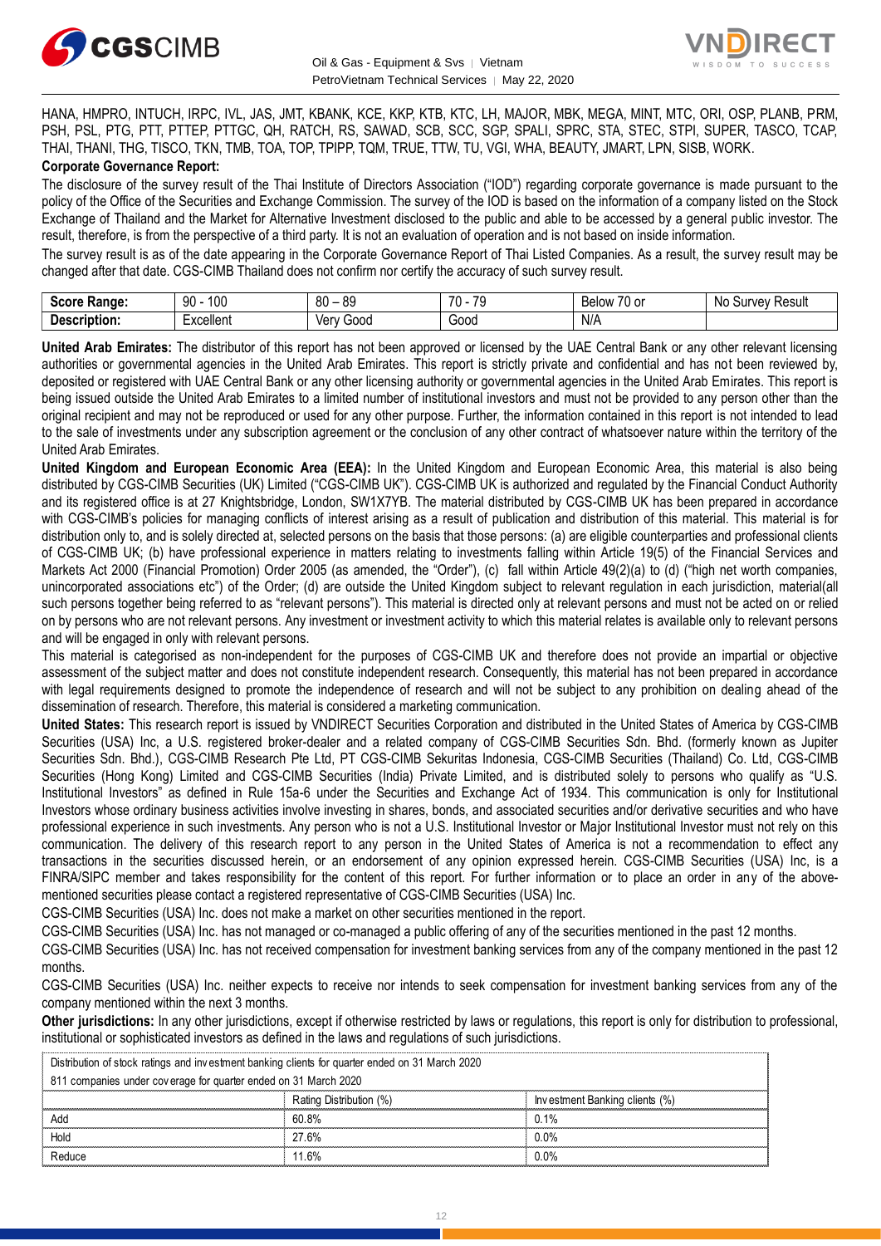



HANA, HMPRO, INTUCH, IRPC, IVL, JAS, JMT, KBANK, KCE, KKP, KTB, KTC, LH, MAJOR, MBK, MEGA, MINT, MTC, ORI, OSP, PLANB, PRM, PSH, PSL, PTG, PTT, PTTEP, PTTGC, QH, RATCH, RS, SAWAD, SCB, SCC, SGP, SPALI, SPRC, STA, STEC, STPI, SUPER, TASCO, TCAP, THAI, THANI, THG, TISCO, TKN, TMB, TOA, TOP, TPIPP, TQM, TRUE, TTW, TU, VGI, WHA, BEAUTY, JMART, LPN, SISB, WORK. **Corporate Governance Report:**

The disclosure of the survey result of the Thai Institute of Directors Association ("IOD") regarding corporate governance is made pursuant to the policy of the Office of the Securities and Exchange Commission. The survey of the IOD is based on the information of a company listed on the Stock Exchange of Thailand and the Market for Alternative Investment disclosed to the public and able to be accessed by a general public investor. The result, therefore, is from the perspective of a third party. It is not an evaluation of operation and is not based on inside information.

The survey result is as of the date appearing in the Corporate Governance Report of Thai Listed Companies. As a result, the survey result may be changed after that date. CGS-CIMB Thailand does not confirm nor certify the accuracy of such survey result.

| <b>Casus</b><br>Range:<br>əcor | 100<br>۵O<br>IJΜ                | .or<br>80<br>へい<br>$\overline{\phantom{a}}$ | 70<br>$\overline{\phantom{a}}$<br>. | $\overline{\phantom{a}}$<br>Relow<br>'U oi | Result<br>$\sim$<br>Nı<br>,,,<br>יוור.<br>u<br> |
|--------------------------------|---------------------------------|---------------------------------------------|-------------------------------------|--------------------------------------------|-------------------------------------------------|
| -<br>Description:              | -voollant<br><b>_</b> ∧Cellerit | 000خ<br>/\nu<br>791                         | Good                                | N/A                                        |                                                 |

**United Arab Emirates:** The distributor of this report has not been approved or licensed by the UAE Central Bank or any other relevant licensing authorities or governmental agencies in the United Arab Emirates. This report is strictly private and confidential and has not been reviewed by, deposited or registered with UAE Central Bank or any other licensing authority or governmental agencies in the United Arab Emirates. This report is being issued outside the United Arab Emirates to a limited number of institutional investors and must not be provided to any person other than the original recipient and may not be reproduced or used for any other purpose. Further, the information contained in this report is not intended to lead to the sale of investments under any subscription agreement or the conclusion of any other contract of whatsoever nature within the territory of the United Arab Emirates.

**United Kingdom and European Economic Area (EEA):** In the United Kingdom and European Economic Area, this material is also being distributed by CGS-CIMB Securities (UK) Limited ("CGS-CIMB UK"). CGS-CIMB UK is authorized and regulated by the Financial Conduct Authority and its registered office is at 27 Knightsbridge, London, SW1X7YB. The material distributed by CGS-CIMB UK has been prepared in accordance with CGS-CIMB's policies for managing conflicts of interest arising as a result of publication and distribution of this material. This material is for distribution only to, and is solely directed at, selected persons on the basis that those persons: (a) are eligible counterparties and professional clients of CGS-CIMB UK; (b) have professional experience in matters relating to investments falling within Article 19(5) of the Financial Services and Markets Act 2000 (Financial Promotion) Order 2005 (as amended, the "Order"), (c) fall within Article 49(2)(a) to (d) ("high net worth companies, unincorporated associations etc") of the Order; (d) are outside the United Kingdom subject to relevant regulation in each jurisdiction, material(all such persons together being referred to as "relevant persons"). This material is directed only at relevant persons and must not be acted on or relied on by persons who are not relevant persons. Any investment or investment activity to which this material relates is available only to relevant persons and will be engaged in only with relevant persons.

This material is categorised as non-independent for the purposes of CGS-CIMB UK and therefore does not provide an impartial or objective assessment of the subject matter and does not constitute independent research. Consequently, this material has not been prepared in accordance with legal requirements designed to promote the independence of research and will not be subject to any prohibition on dealing ahead of the dissemination of research. Therefore, this material is considered a marketing communication.

**United States:** This research report is issued by VNDIRECT Securities Corporation and distributed in the United States of America by CGS-CIMB Securities (USA) Inc, a U.S. registered broker-dealer and a related company of CGS-CIMB Securities Sdn. Bhd. (formerly known as Jupiter Securities Sdn. Bhd.), CGS-CIMB Research Pte Ltd, PT CGS-CIMB Sekuritas Indonesia, CGS-CIMB Securities (Thailand) Co. Ltd, CGS-CIMB Securities (Hong Kong) Limited and CGS-CIMB Securities (India) Private Limited, and is distributed solely to persons who qualify as "U.S. Institutional Investors" as defined in Rule 15a-6 under the Securities and Exchange Act of 1934. This communication is only for Institutional Investors whose ordinary business activities involve investing in shares, bonds, and associated securities and/or derivative securities and who have professional experience in such investments. Any person who is not a U.S. Institutional Investor or Major Institutional Investor must not rely on this communication. The delivery of this research report to any person in the United States of America is not a recommendation to effect any transactions in the securities discussed herein, or an endorsement of any opinion expressed herein. CGS-CIMB Securities (USA) Inc, is a FINRA/SIPC member and takes responsibility for the content of this report. For further information or to place an order in any of the abovementioned securities please contact a registered representative of CGS-CIMB Securities (USA) Inc.

CGS-CIMB Securities (USA) Inc. does not make a market on other securities mentioned in the report.

CGS-CIMB Securities (USA) Inc. has not managed or co-managed a public offering of any of the securities mentioned in the past 12 months.

CGS-CIMB Securities (USA) Inc. has not received compensation for investment banking services from any of the company mentioned in the past 12 months.

CGS-CIMB Securities (USA) Inc. neither expects to receive nor intends to seek compensation for investment banking services from any of the company mentioned within the next 3 months.

**Other jurisdictions:** In any other jurisdictions, except if otherwise restricted by laws or regulations, this report is only for distribution to professional, institutional or sophisticated investors as defined in the laws and regulations of such jurisdictions. being the purisdictions: In any other jurisdictions, except if otherwise restricted by langulational or sophisticated investors as defined in the laws and regulations of such Distribution of stock ratings and investment ba

| <b>Other jurisdictions:</b> In any other jurisdictions, except if otherwise restricted by laws or regulations, this report is only for distribution to<br>institutional or sophisticated investors as defined in the laws and regulations of such jurisdictions. |                         |                                |  |  |
|------------------------------------------------------------------------------------------------------------------------------------------------------------------------------------------------------------------------------------------------------------------|-------------------------|--------------------------------|--|--|
| Distribution of stock ratings and investment banking clients for quarter ended on 31 March 2020                                                                                                                                                                  |                         |                                |  |  |
| 811 companies under coverage for quarter ended on 31 March 2020                                                                                                                                                                                                  |                         |                                |  |  |
|                                                                                                                                                                                                                                                                  | Rating Distribution (%) | Investment Banking clients (%) |  |  |
| Add                                                                                                                                                                                                                                                              | 60.8%                   | 0.1%                           |  |  |
| Hold                                                                                                                                                                                                                                                             | 27.6%                   | 0.0%                           |  |  |
| Reduce                                                                                                                                                                                                                                                           | 11.6%                   | $0.0\%$                        |  |  |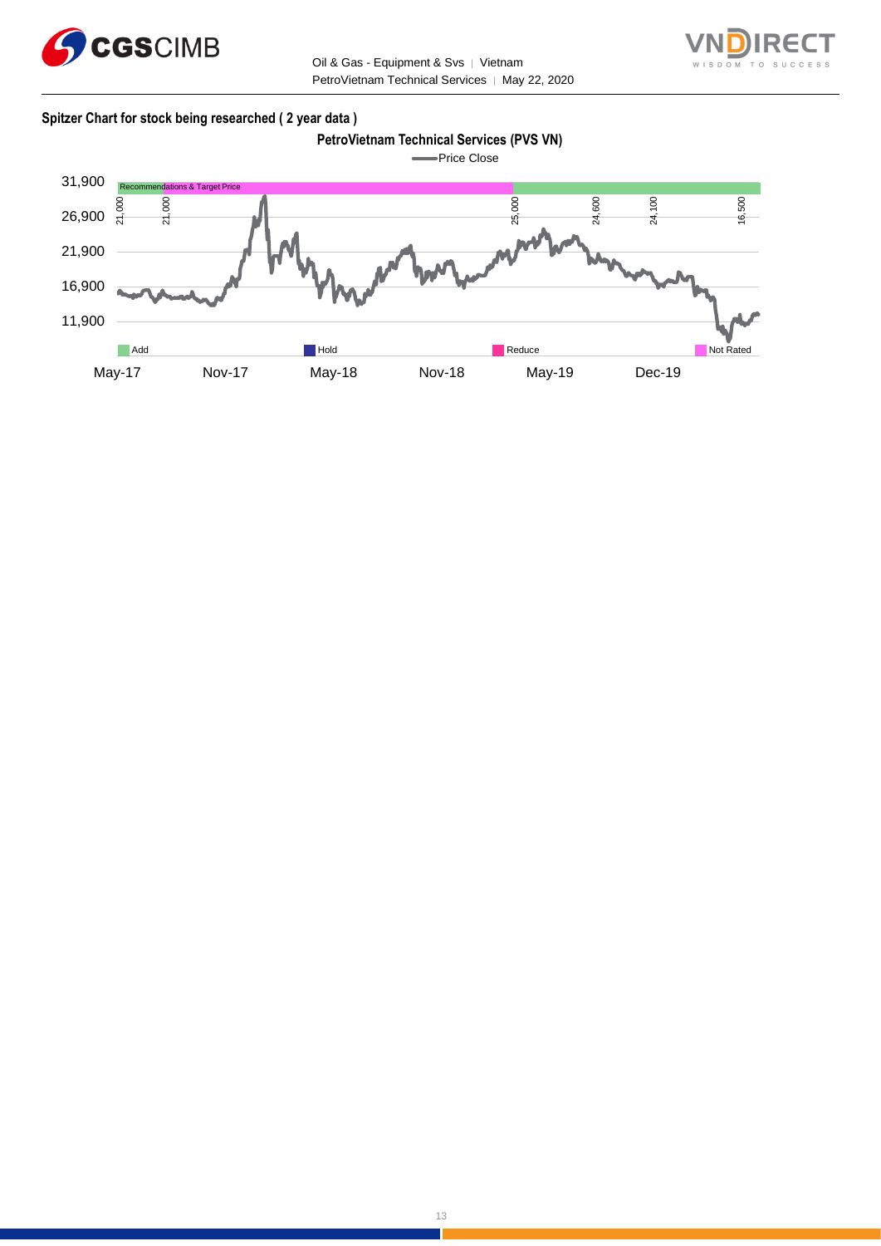

Oil & Gas - Equipment & Svs | Vietnam PetroVietnam Technical Services | May 22, 2020



### **Spitzer Chart for stock being researched ( 2 year data )**

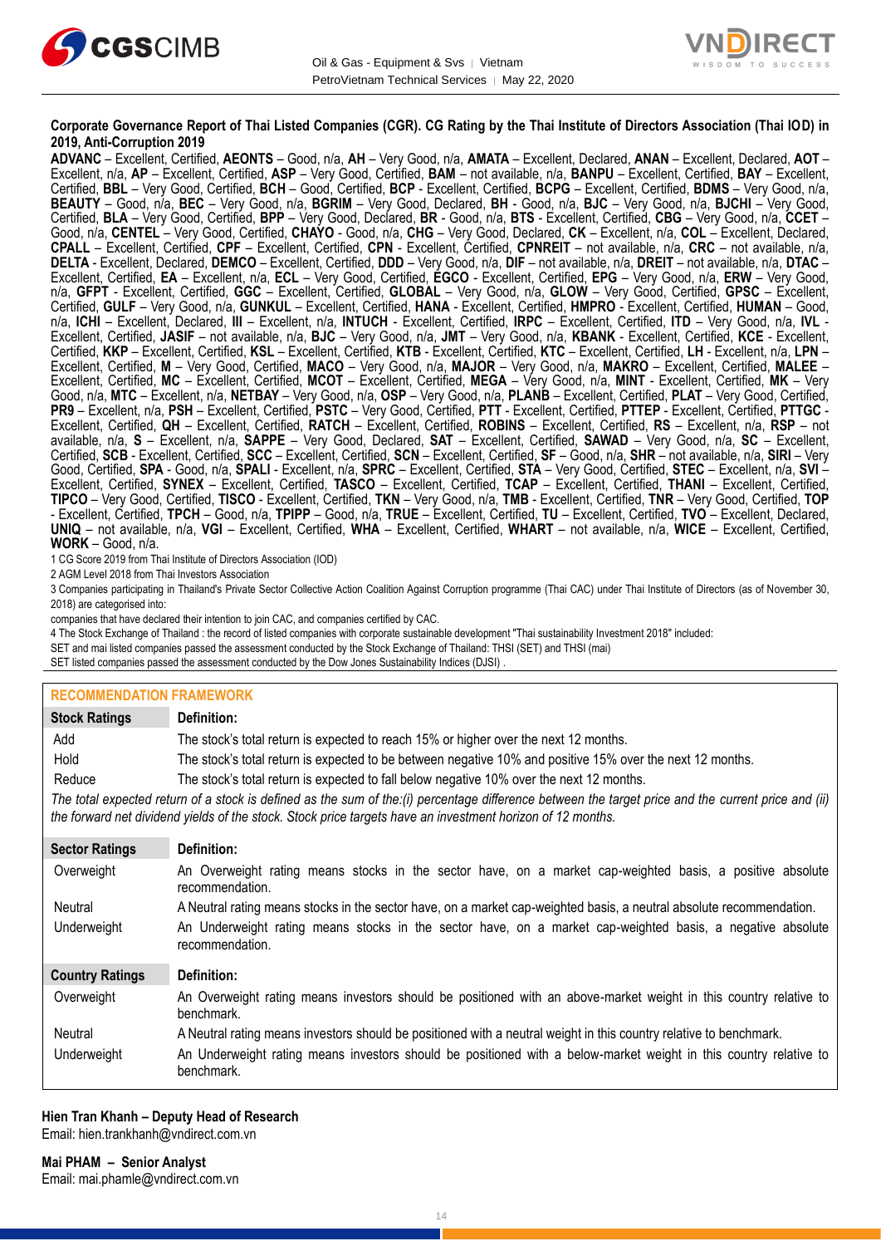



#### **Corporate Governance Report of Thai Listed Companies (CGR). CG Rating by the Thai Institute of Directors Association (Thai IOD) in 2019, Anti-Corruption 2019**

**ADVANC** – Excellent, Certified, **AEONTS** – Good, n/a, **AH** – Very Good, n/a, **AMATA** – Excellent, Declared, **ANAN** – Excellent, Declared, **AOT** – Excellent, n/a, **AP** – Excellent, Certified, **ASP** – Very Good, Certified, **BAM** – not available, n/a, **BANPU** – Excellent, Certified, **BAY** – Excellent, Certified, **BBL** – Very Good, Certified, **BCH** – Good, Certified, **BCP** - Excellent, Certified, **BCPG** – Excellent, Certified, **BDMS** – Very Good, n/a, **BEAUTY** – Good, n/a, **BEC** – Very Good, n/a, **BGRIM** – Very Good, Declared, **BH** - Good, n/a, **BJC** – Very Good, n/a, **BJCHI** – Very Good, Certified, **BLA** – Very Good, Certified, **BPP** – Very Good, Declared, **BR** - Good, n/a, **BTS** - Excellent, Certified, **CBG** – Very Good, n/a, **CCET** – Good, n/a, **CENTEL** – Very Good, Certified, **CHAYO** - Good, n/a, **CHG** – Very Good, Declared, **CK** – Excellent, n/a, **COL** – Excellent, Declared, **CPALL** – Excellent, Certified, **CPF** – Excellent, Certified, **CPN** - Excellent, Certified, **CPNREIT** – not available, n/a, **CRC** – not available, n/a, **DELTA** - Excellent, Declared, **DEMCO** – Excellent, Certified, **DDD** – Very Good, n/a, **DIF** – not available, n/a, **DREIT** – not available, n/a, **DTAC** – Excellent, Certified, **EA** – Excellent, n/a, **ECL** – Very Good, Certified, **EGCO** - Excellent, Certified, **EPG** – Very Good, n/a, **ERW** – Very Good, n/a, **GFPT** - Excellent, Certified, **GGC** – Excellent, Certified, **GLOBAL** – Very Good, n/a, **GLOW** – Very Good, Certified, **GPSC** – Excellent, Certified, **GULF** – Very Good, n/a, **GUNKUL** – Excellent, Certified, **HANA** - Excellent, Certified, **HMPRO** - Excellent, Certified, **HUMAN** – Good, n/a, **ICHI** – Excellent, Declared, **III** – Excellent, n/a, **INTUCH** - Excellent, Certified, **IRPC** – Excellent, Certified, **ITD** – Very Good, n/a, **IVL** - Excellent, Certified, **JASIF** – not available, n/a, **BJC** – Very Good, n/a, **JMT** – Very Good, n/a, **KBANK** - Excellent, Certified, **KCE** - Excellent, Certified, **KKP** – Excellent, Certified, **KSL** – Excellent, Certified, **KTB** - Excellent, Certified, **KTC** – Excellent, Certified, **LH** - Excellent, n/a, **LPN** – Excellent, Certified, **M** – Very Good, Certified, **MACO** – Very Good, n/a, **MAJOR** – Very Good, n/a, **MAKRO** – Excellent, Certified, **MALEE** – Excellent, Certified, **MC** – Excellent, Certified, **MCOT** – Excellent, Certified, **MEGA** – Very Good, n/a, **MINT** - Excellent, Certified, **MK** – Very Good, n/a, **MTC** – Excellent, n/a, **NETBAY** – Very Good, n/a, **OSP** – Very Good, n/a, **PLANB** – Excellent, Certified, **PLAT** – Very Good, Certified, **PR9** – Excellent, n/a, **PSH** – Excellent, Certified, **PSTC** – Very Good, Certified, **PTT** - Excellent, Certified, **PTTEP** - Excellent, Certified, **PTTGC** - Excellent, Certified, **QH** – Excellent, Certified, **RATCH** – Excellent, Certified, **ROBINS** – Excellent, Certified, **RS** – Excellent, n/a, **RSP** – not available, n/a, **S** – Excellent, n/a, **SAPPE** – Very Good, Declared, **SAT** – Excellent, Certified, **SAWAD** – Very Good, n/a, **SC** – Excellent, Certified, **SCB** - Excellent, Certified, **SCC** – Excellent, Certified, **SCN** – Excellent, Certified, **SF** – Good, n/a, **SHR** – not available, n/a, **SIRI** – Very Good, Certified, **SPA** - Good, n/a, **SPALI** - Excellent, n/a, **SPRC** – Excellent, Certified, **STA** – Very Good, Certified, **STEC** – Excellent, n/a, **SVI** – Excellent, Certified, **SYNEX** – Excellent, Certified, **TASCO** – Excellent, Certified, **TCAP** – Excellent, Certified, **THANI** – Excellent, Certified, **TIPCO** – Very Good, Certified, **TISCO** - Excellent, Certified, **TKN** – Very Good, n/a, **TMB** - Excellent, Certified, **TNR** – Very Good, Certified, **TOP** - Excellent, Certified, **TPCH** – Good, n/a, **TPIPP** – Good, n/a, **TRUE** – Excellent, Certified, **TU** – Excellent, Certified, **TVO** – Excellent, Declared, **UNIQ** – not available, n/a, **VGI** – Excellent, Certified, **WHA** – Excellent, Certified, **WHART** – not available, n/a, **WICE** – Excellent, Certified, **WORK** – Good, n/a.

1 CG Score 2019 from Thai Institute of Directors Association (IOD)

2 AGM Level 2018 from Thai Investors Association

3 Companies participating in Thailand's Private Sector Collective Action Coalition Against Corruption programme (Thai CAC) under Thai Institute of Directors (as of November 30, 2018) are categorised into:

companies that have declared their intention to join CAC, and companies certified by CAC.

4 [The Stock Exchange of Thailand : the record of listed companies with corporate sustainable development "Thai sustainability Investment 2018" included:](http://www.set.or.th/sustainable_dev/en/sr/sri/tsi_p1.html)

SET and mai listed companies passed the assessment conducted by the Stock Exchange of Thailand: THSI (SET) and THSI (mai)

SET listed companies passed the assessment conducted by the Dow Jones Sustainability Indices (DJSI)

# **RECOMMENDATION FRAMEWORK**

| <b>Stock Ratings</b>   | Definition:                                                                                                                                                                                                                                                       |
|------------------------|-------------------------------------------------------------------------------------------------------------------------------------------------------------------------------------------------------------------------------------------------------------------|
| Add                    | The stock's total return is expected to reach 15% or higher over the next 12 months.                                                                                                                                                                              |
| Hold                   | The stock's total return is expected to be between negative 10% and positive 15% over the next 12 months.                                                                                                                                                         |
| Reduce                 | The stock's total return is expected to fall below negative 10% over the next 12 months.                                                                                                                                                                          |
|                        | The total expected return of a stock is defined as the sum of the:(i) percentage difference between the target price and the current price and (ii)<br>the forward net dividend yields of the stock. Stock price targets have an investment horizon of 12 months. |
| <b>Sector Ratings</b>  | Definition:                                                                                                                                                                                                                                                       |
| Overweight             | An Overweight rating means stocks in the sector have, on a market cap-weighted basis, a positive absolute<br>recommendation.                                                                                                                                      |
| Neutral                | A Neutral rating means stocks in the sector have, on a market cap-weighted basis, a neutral absolute recommendation.                                                                                                                                              |
| Underweight            | An Underweight rating means stocks in the sector have, on a market cap-weighted basis, a negative absolute<br>recommendation.                                                                                                                                     |
| <b>Country Ratings</b> | Definition:                                                                                                                                                                                                                                                       |
| Overweight             | An Overweight rating means investors should be positioned with an above-market weight in this country relative to<br>benchmark.                                                                                                                                   |
| Neutral                | A Neutral rating means investors should be positioned with a neutral weight in this country relative to benchmark.                                                                                                                                                |
| Underweight            | An Underweight rating means investors should be positioned with a below-market weight in this country relative to<br>benchmark.                                                                                                                                   |

#### **Hien Tran Khanh – Deputy Head of Research** Email: [hien.trankhanh@vndirect.com.vn](mailto:hien.trankhanh@vndirect.com.vn)

**Mai PHAM – Senior Analyst** Email: [mai.phamle@vndirect.com.vn](mailto:mai.phamle@vndirect.com.vn)